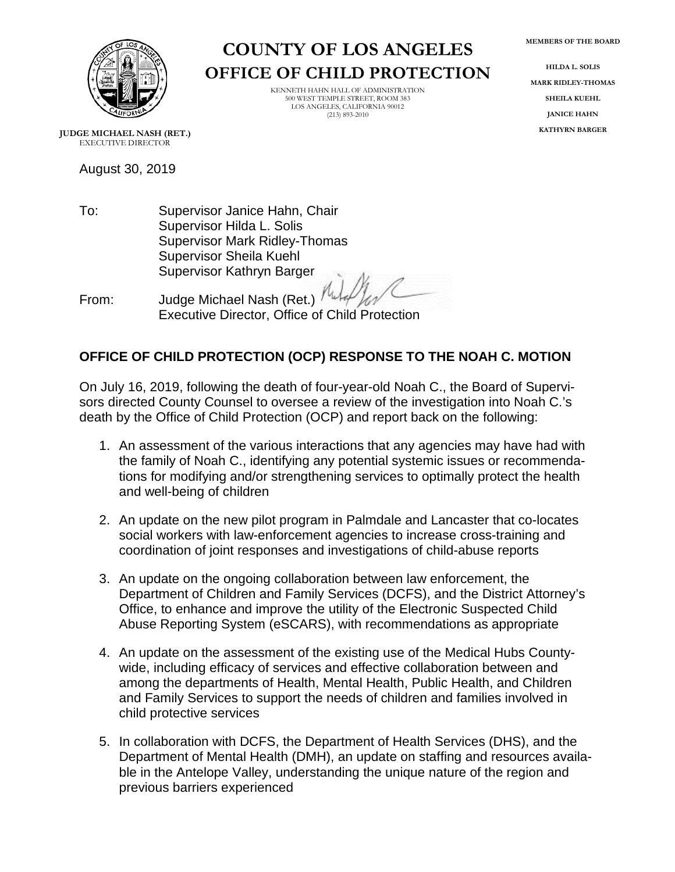**MEMBERS OF THE BOARD**



**COUNTY OF LOS ANGELES OFFICE OF CHILD PROTECTION**

> KENNETH HAHN HALL OF ADMINISTRATION 500 WEST TEMPLE STREET, ROOM 383 LOS ANGELES, CALIFORNIA 90012 (213) 893-2010

**HILDA L. SOLIS MARK RIDLEY-THOMAS SHEILA KUEHL JANICE HAHN KATHYRN BARGER**

**JUDGE MICHAEL NASH (RET.)** EXECUTIVE DIRECTOR

August 30, 2019

To: Supervisor Janice Hahn, Chair Supervisor Hilda L. Solis Supervisor Mark Ridley-Thomas Supervisor Sheila Kuehl Supervisor Kathryn Barger

From: Judge Michael Nash (Ret.)

## Executive Director, Office of Child Protection

## **OFFICE OF CHILD PROTECTION (OCP) RESPONSE TO THE NOAH C. MOTION**

On July 16, 2019, following the death of four-year-old Noah C., the Board of Supervisors directed County Counsel to oversee a review of the investigation into Noah C.'s death by the Office of Child Protection (OCP) and report back on the following:

- 1. An assessment of the various interactions that any agencies may have had with the family of Noah C., identifying any potential systemic issues or recommendations for modifying and/or strengthening services to optimally protect the health and well-being of children
- 2. An update on the new pilot program in Palmdale and Lancaster that co-locates social workers with law-enforcement agencies to increase cross-training and coordination of joint responses and investigations of child-abuse reports
- 3. An update on the ongoing collaboration between law enforcement, the Department of Children and Family Services (DCFS), and the District Attorney's Office, to enhance and improve the utility of the Electronic Suspected Child Abuse Reporting System (eSCARS), with recommendations as appropriate
- 4. An update on the assessment of the existing use of the Medical Hubs Countywide, including efficacy of services and effective collaboration between and among the departments of Health, Mental Health, Public Health, and Children and Family Services to support the needs of children and families involved in child protective services
- 5. In collaboration with DCFS, the Department of Health Services (DHS), and the Department of Mental Health (DMH), an update on staffing and resources available in the Antelope Valley, understanding the unique nature of the region and previous barriers experienced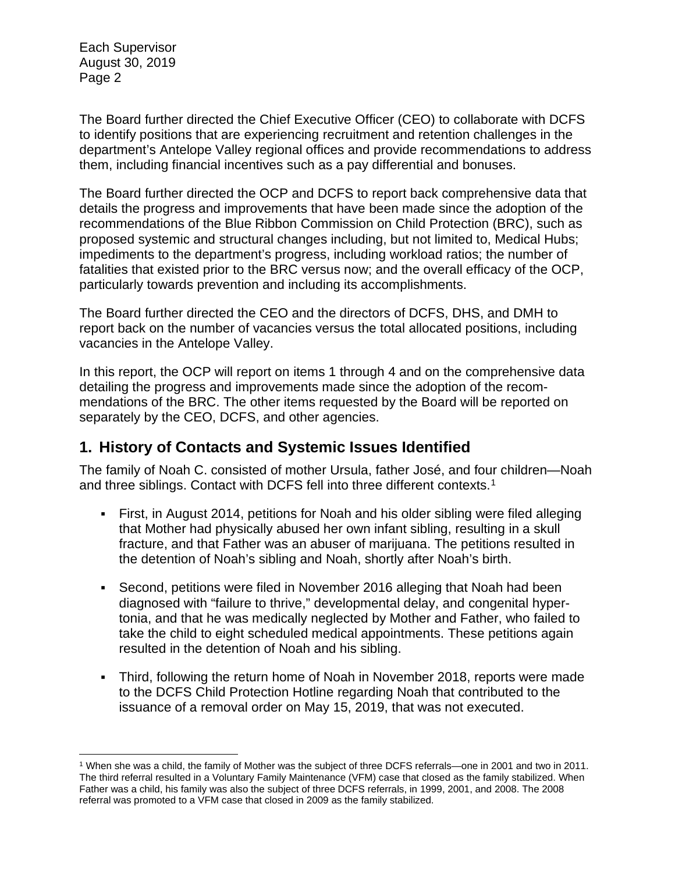The Board further directed the Chief Executive Officer (CEO) to collaborate with DCFS to identify positions that are experiencing recruitment and retention challenges in the department's Antelope Valley regional offices and provide recommendations to address them, including financial incentives such as a pay differential and bonuses.

The Board further directed the OCP and DCFS to report back comprehensive data that details the progress and improvements that have been made since the adoption of the recommendations of the Blue Ribbon Commission on Child Protection (BRC), such as proposed systemic and structural changes including, but not limited to, Medical Hubs; impediments to the department's progress, including workload ratios; the number of fatalities that existed prior to the BRC versus now; and the overall efficacy of the OCP, particularly towards prevention and including its accomplishments.

The Board further directed the CEO and the directors of DCFS, DHS, and DMH to report back on the number of vacancies versus the total allocated positions, including vacancies in the Antelope Valley.

In this report, the OCP will report on items 1 through 4 and on the comprehensive data detailing the progress and improvements made since the adoption of the recommendations of the BRC. The other items requested by the Board will be reported on separately by the CEO, DCFS, and other agencies.

## **1. History of Contacts and Systemic Issues Identified**

The family of Noah C. consisted of mother Ursula, father José, and four children—Noah and three siblings. Contact with DCFS fell into three different contexts.[1](#page-1-0)

- First, in August 2014, petitions for Noah and his older sibling were filed alleging that Mother had physically abused her own infant sibling, resulting in a skull fracture, and that Father was an abuser of marijuana. The petitions resulted in the detention of Noah's sibling and Noah, shortly after Noah's birth.
- Second, petitions were filed in November 2016 alleging that Noah had been diagnosed with "failure to thrive," developmental delay, and congenital hypertonia, and that he was medically neglected by Mother and Father, who failed to take the child to eight scheduled medical appointments. These petitions again resulted in the detention of Noah and his sibling.
- Third, following the return home of Noah in November 2018, reports were made to the DCFS Child Protection Hotline regarding Noah that contributed to the issuance of a removal order on May 15, 2019, that was not executed.

<span id="page-1-0"></span><sup>1</sup> When she was a child, the family of Mother was the subject of three DCFS referrals—one in 2001 and two in 2011. The third referral resulted in a Voluntary Family Maintenance (VFM) case that closed as the family stabilized. When Father was a child, his family was also the subject of three DCFS referrals, in 1999, 2001, and 2008. The 2008 referral was promoted to a VFM case that closed in 2009 as the family stabilized.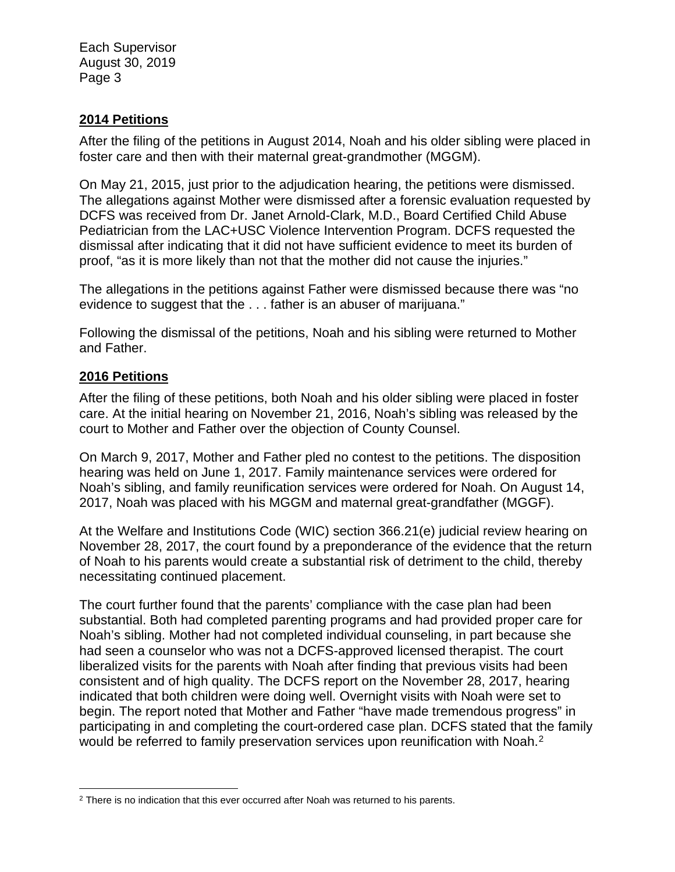#### **2014 Petitions**

After the filing of the petitions in August 2014, Noah and his older sibling were placed in foster care and then with their maternal great-grandmother (MGGM).

On May 21, 2015, just prior to the adjudication hearing, the petitions were dismissed. The allegations against Mother were dismissed after a forensic evaluation requested by DCFS was received from Dr. Janet Arnold-Clark, M.D., Board Certified Child Abuse Pediatrician from the LAC+USC Violence Intervention Program. DCFS requested the dismissal after indicating that it did not have sufficient evidence to meet its burden of proof, "as it is more likely than not that the mother did not cause the injuries."

The allegations in the petitions against Father were dismissed because there was "no evidence to suggest that the . . . father is an abuser of marijuana."

Following the dismissal of the petitions, Noah and his sibling were returned to Mother and Father.

#### **2016 Petitions**

After the filing of these petitions, both Noah and his older sibling were placed in foster care. At the initial hearing on November 21, 2016, Noah's sibling was released by the court to Mother and Father over the objection of County Counsel.

On March 9, 2017, Mother and Father pled no contest to the petitions. The disposition hearing was held on June 1, 2017. Family maintenance services were ordered for Noah's sibling, and family reunification services were ordered for Noah. On August 14, 2017, Noah was placed with his MGGM and maternal great-grandfather (MGGF).

At the Welfare and Institutions Code (WIC) section 366.21(e) judicial review hearing on November 28, 2017, the court found by a preponderance of the evidence that the return of Noah to his parents would create a substantial risk of detriment to the child, thereby necessitating continued placement.

The court further found that the parents' compliance with the case plan had been substantial. Both had completed parenting programs and had provided proper care for Noah's sibling. Mother had not completed individual counseling, in part because she had seen a counselor who was not a DCFS-approved licensed therapist. The court liberalized visits for the parents with Noah after finding that previous visits had been consistent and of high quality. The DCFS report on the November 28, 2017, hearing indicated that both children were doing well. Overnight visits with Noah were set to begin. The report noted that Mother and Father "have made tremendous progress" in participating in and completing the court-ordered case plan. DCFS stated that the family would be referred to family preservation services upon reunification with Noah.<sup>[2](#page-2-0)</sup>

<span id="page-2-0"></span><sup>&</sup>lt;sup>2</sup> There is no indication that this ever occurred after Noah was returned to his parents.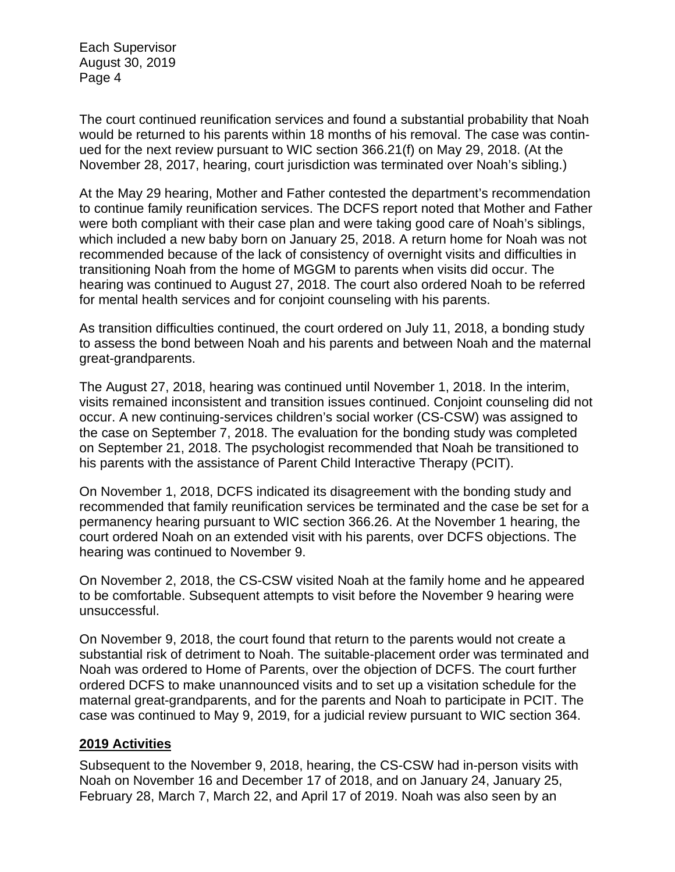The court continued reunification services and found a substantial probability that Noah would be returned to his parents within 18 months of his removal. The case was continued for the next review pursuant to WIC section 366.21(f) on May 29, 2018. (At the November 28, 2017, hearing, court jurisdiction was terminated over Noah's sibling.)

At the May 29 hearing, Mother and Father contested the department's recommendation to continue family reunification services. The DCFS report noted that Mother and Father were both compliant with their case plan and were taking good care of Noah's siblings, which included a new baby born on January 25, 2018. A return home for Noah was not recommended because of the lack of consistency of overnight visits and difficulties in transitioning Noah from the home of MGGM to parents when visits did occur. The hearing was continued to August 27, 2018. The court also ordered Noah to be referred for mental health services and for conjoint counseling with his parents.

As transition difficulties continued, the court ordered on July 11, 2018, a bonding study to assess the bond between Noah and his parents and between Noah and the maternal great-grandparents.

The August 27, 2018, hearing was continued until November 1, 2018. In the interim, visits remained inconsistent and transition issues continued. Conjoint counseling did not occur. A new continuing-services children's social worker (CS-CSW) was assigned to the case on September 7, 2018. The evaluation for the bonding study was completed on September 21, 2018. The psychologist recommended that Noah be transitioned to his parents with the assistance of Parent Child Interactive Therapy (PCIT).

On November 1, 2018, DCFS indicated its disagreement with the bonding study and recommended that family reunification services be terminated and the case be set for a permanency hearing pursuant to WIC section 366.26. At the November 1 hearing, the court ordered Noah on an extended visit with his parents, over DCFS objections. The hearing was continued to November 9.

On November 2, 2018, the CS-CSW visited Noah at the family home and he appeared to be comfortable. Subsequent attempts to visit before the November 9 hearing were unsuccessful.

On November 9, 2018, the court found that return to the parents would not create a substantial risk of detriment to Noah. The suitable-placement order was terminated and Noah was ordered to Home of Parents, over the objection of DCFS. The court further ordered DCFS to make unannounced visits and to set up a visitation schedule for the maternal great-grandparents, and for the parents and Noah to participate in PCIT. The case was continued to May 9, 2019, for a judicial review pursuant to WIC section 364.

#### **2019 Activities**

Subsequent to the November 9, 2018, hearing, the CS-CSW had in-person visits with Noah on November 16 and December 17 of 2018, and on January 24, January 25, February 28, March 7, March 22, and April 17 of 2019. Noah was also seen by an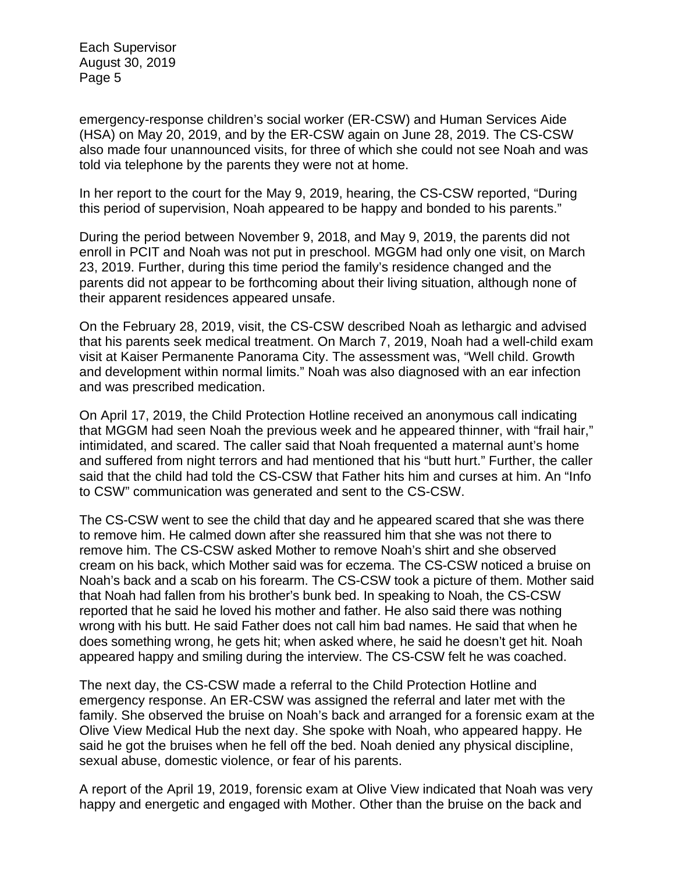emergency-response children's social worker (ER-CSW) and Human Services Aide (HSA) on May 20, 2019, and by the ER-CSW again on June 28, 2019. The CS-CSW also made four unannounced visits, for three of which she could not see Noah and was told via telephone by the parents they were not at home.

In her report to the court for the May 9, 2019, hearing, the CS-CSW reported, "During this period of supervision, Noah appeared to be happy and bonded to his parents."

During the period between November 9, 2018, and May 9, 2019, the parents did not enroll in PCIT and Noah was not put in preschool. MGGM had only one visit, on March 23, 2019. Further, during this time period the family's residence changed and the parents did not appear to be forthcoming about their living situation, although none of their apparent residences appeared unsafe.

On the February 28, 2019, visit, the CS-CSW described Noah as lethargic and advised that his parents seek medical treatment. On March 7, 2019, Noah had a well-child exam visit at Kaiser Permanente Panorama City. The assessment was, "Well child. Growth and development within normal limits." Noah was also diagnosed with an ear infection and was prescribed medication.

On April 17, 2019, the Child Protection Hotline received an anonymous call indicating that MGGM had seen Noah the previous week and he appeared thinner, with "frail hair," intimidated, and scared. The caller said that Noah frequented a maternal aunt's home and suffered from night terrors and had mentioned that his "butt hurt." Further, the caller said that the child had told the CS-CSW that Father hits him and curses at him. An "Info to CSW" communication was generated and sent to the CS-CSW.

The CS-CSW went to see the child that day and he appeared scared that she was there to remove him. He calmed down after she reassured him that she was not there to remove him. The CS-CSW asked Mother to remove Noah's shirt and she observed cream on his back, which Mother said was for eczema. The CS-CSW noticed a bruise on Noah's back and a scab on his forearm. The CS-CSW took a picture of them. Mother said that Noah had fallen from his brother's bunk bed. In speaking to Noah, the CS-CSW reported that he said he loved his mother and father. He also said there was nothing wrong with his butt. He said Father does not call him bad names. He said that when he does something wrong, he gets hit; when asked where, he said he doesn't get hit. Noah appeared happy and smiling during the interview. The CS-CSW felt he was coached.

The next day, the CS-CSW made a referral to the Child Protection Hotline and emergency response. An ER-CSW was assigned the referral and later met with the family. She observed the bruise on Noah's back and arranged for a forensic exam at the Olive View Medical Hub the next day. She spoke with Noah, who appeared happy. He said he got the bruises when he fell off the bed. Noah denied any physical discipline, sexual abuse, domestic violence, or fear of his parents.

A report of the April 19, 2019, forensic exam at Olive View indicated that Noah was very happy and energetic and engaged with Mother. Other than the bruise on the back and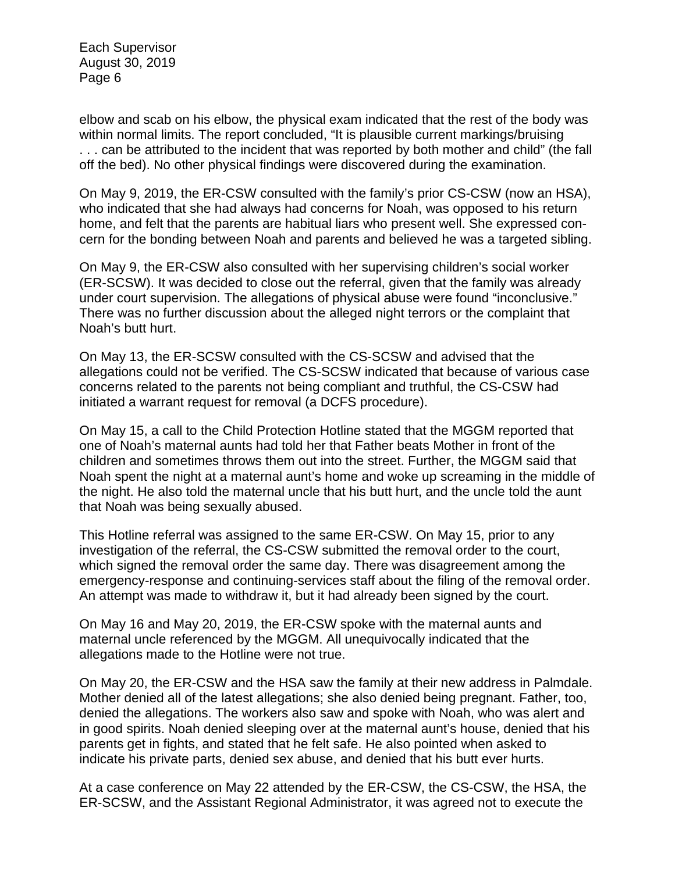elbow and scab on his elbow, the physical exam indicated that the rest of the body was within normal limits. The report concluded, "It is plausible current markings/bruising . . . can be attributed to the incident that was reported by both mother and child" (the fall off the bed). No other physical findings were discovered during the examination.

On May 9, 2019, the ER-CSW consulted with the family's prior CS-CSW (now an HSA), who indicated that she had always had concerns for Noah, was opposed to his return home, and felt that the parents are habitual liars who present well. She expressed concern for the bonding between Noah and parents and believed he was a targeted sibling.

On May 9, the ER-CSW also consulted with her supervising children's social worker (ER-SCSW). It was decided to close out the referral, given that the family was already under court supervision. The allegations of physical abuse were found "inconclusive." There was no further discussion about the alleged night terrors or the complaint that Noah's butt hurt.

On May 13, the ER-SCSW consulted with the CS-SCSW and advised that the allegations could not be verified. The CS-SCSW indicated that because of various case concerns related to the parents not being compliant and truthful, the CS-CSW had initiated a warrant request for removal (a DCFS procedure).

On May 15, a call to the Child Protection Hotline stated that the MGGM reported that one of Noah's maternal aunts had told her that Father beats Mother in front of the children and sometimes throws them out into the street. Further, the MGGM said that Noah spent the night at a maternal aunt's home and woke up screaming in the middle of the night. He also told the maternal uncle that his butt hurt, and the uncle told the aunt that Noah was being sexually abused.

This Hotline referral was assigned to the same ER-CSW. On May 15, prior to any investigation of the referral, the CS-CSW submitted the removal order to the court, which signed the removal order the same day. There was disagreement among the emergency-response and continuing-services staff about the filing of the removal order. An attempt was made to withdraw it, but it had already been signed by the court.

On May 16 and May 20, 2019, the ER-CSW spoke with the maternal aunts and maternal uncle referenced by the MGGM. All unequivocally indicated that the allegations made to the Hotline were not true.

On May 20, the ER-CSW and the HSA saw the family at their new address in Palmdale. Mother denied all of the latest allegations; she also denied being pregnant. Father, too, denied the allegations. The workers also saw and spoke with Noah, who was alert and in good spirits. Noah denied sleeping over at the maternal aunt's house, denied that his parents get in fights, and stated that he felt safe. He also pointed when asked to indicate his private parts, denied sex abuse, and denied that his butt ever hurts.

At a case conference on May 22 attended by the ER-CSW, the CS-CSW, the HSA, the ER-SCSW, and the Assistant Regional Administrator, it was agreed not to execute the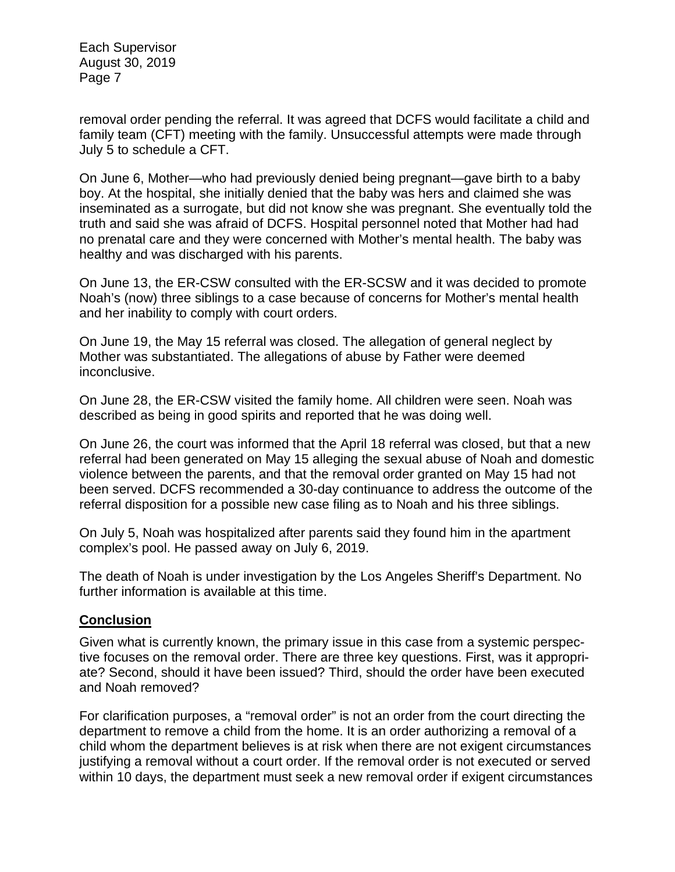removal order pending the referral. It was agreed that DCFS would facilitate a child and family team (CFT) meeting with the family. Unsuccessful attempts were made through July 5 to schedule a CFT.

On June 6, Mother—who had previously denied being pregnant—gave birth to a baby boy. At the hospital, she initially denied that the baby was hers and claimed she was inseminated as a surrogate, but did not know she was pregnant. She eventually told the truth and said she was afraid of DCFS. Hospital personnel noted that Mother had had no prenatal care and they were concerned with Mother's mental health. The baby was healthy and was discharged with his parents.

On June 13, the ER-CSW consulted with the ER-SCSW and it was decided to promote Noah's (now) three siblings to a case because of concerns for Mother's mental health and her inability to comply with court orders.

On June 19, the May 15 referral was closed. The allegation of general neglect by Mother was substantiated. The allegations of abuse by Father were deemed inconclusive.

On June 28, the ER-CSW visited the family home. All children were seen. Noah was described as being in good spirits and reported that he was doing well.

On June 26, the court was informed that the April 18 referral was closed, but that a new referral had been generated on May 15 alleging the sexual abuse of Noah and domestic violence between the parents, and that the removal order granted on May 15 had not been served. DCFS recommended a 30-day continuance to address the outcome of the referral disposition for a possible new case filing as to Noah and his three siblings.

On July 5, Noah was hospitalized after parents said they found him in the apartment complex's pool. He passed away on July 6, 2019.

The death of Noah is under investigation by the Los Angeles Sheriff's Department. No further information is available at this time.

## **Conclusion**

Given what is currently known, the primary issue in this case from a systemic perspective focuses on the removal order. There are three key questions. First, was it appropriate? Second, should it have been issued? Third, should the order have been executed and Noah removed?

For clarification purposes, a "removal order" is not an order from the court directing the department to remove a child from the home. It is an order authorizing a removal of a child whom the department believes is at risk when there are not exigent circumstances justifying a removal without a court order. If the removal order is not executed or served within 10 days, the department must seek a new removal order if exigent circumstances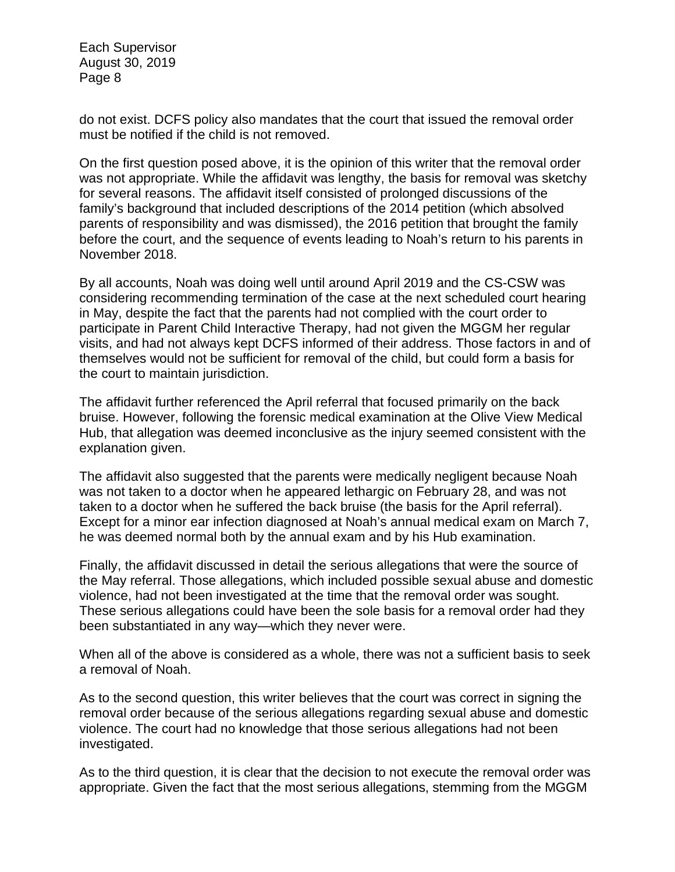do not exist. DCFS policy also mandates that the court that issued the removal order must be notified if the child is not removed.

On the first question posed above, it is the opinion of this writer that the removal order was not appropriate. While the affidavit was lengthy, the basis for removal was sketchy for several reasons. The affidavit itself consisted of prolonged discussions of the family's background that included descriptions of the 2014 petition (which absolved parents of responsibility and was dismissed), the 2016 petition that brought the family before the court, and the sequence of events leading to Noah's return to his parents in November 2018.

By all accounts, Noah was doing well until around April 2019 and the CS-CSW was considering recommending termination of the case at the next scheduled court hearing in May, despite the fact that the parents had not complied with the court order to participate in Parent Child Interactive Therapy, had not given the MGGM her regular visits, and had not always kept DCFS informed of their address. Those factors in and of themselves would not be sufficient for removal of the child, but could form a basis for the court to maintain jurisdiction.

The affidavit further referenced the April referral that focused primarily on the back bruise. However, following the forensic medical examination at the Olive View Medical Hub, that allegation was deemed inconclusive as the injury seemed consistent with the explanation given.

The affidavit also suggested that the parents were medically negligent because Noah was not taken to a doctor when he appeared lethargic on February 28, and was not taken to a doctor when he suffered the back bruise (the basis for the April referral). Except for a minor ear infection diagnosed at Noah's annual medical exam on March 7, he was deemed normal both by the annual exam and by his Hub examination.

Finally, the affidavit discussed in detail the serious allegations that were the source of the May referral. Those allegations, which included possible sexual abuse and domestic violence, had not been investigated at the time that the removal order was sought. These serious allegations could have been the sole basis for a removal order had they been substantiated in any way—which they never were.

When all of the above is considered as a whole, there was not a sufficient basis to seek a removal of Noah.

As to the second question, this writer believes that the court was correct in signing the removal order because of the serious allegations regarding sexual abuse and domestic violence. The court had no knowledge that those serious allegations had not been investigated.

As to the third question, it is clear that the decision to not execute the removal order was appropriate. Given the fact that the most serious allegations, stemming from the MGGM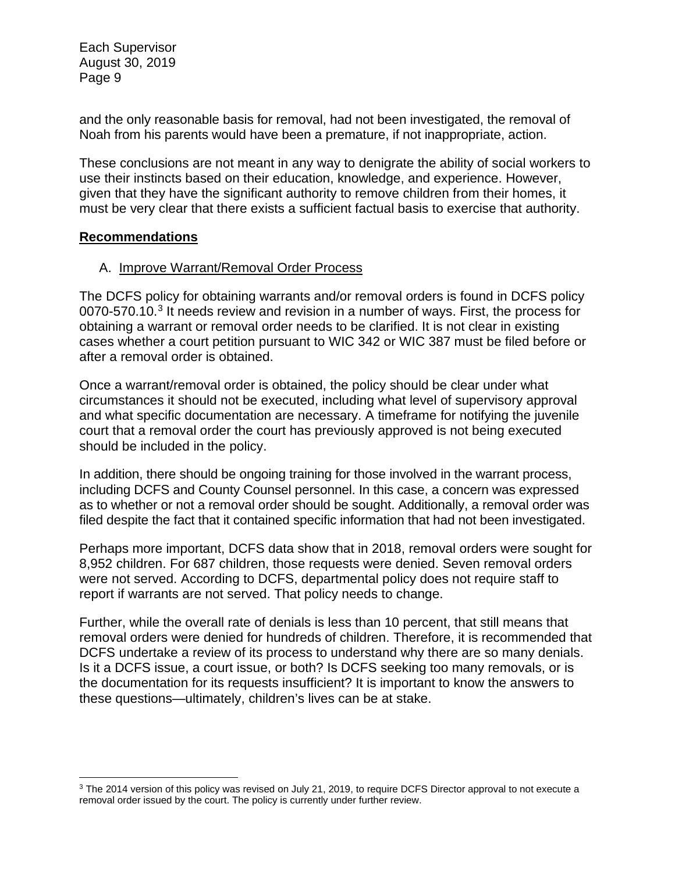and the only reasonable basis for removal, had not been investigated, the removal of Noah from his parents would have been a premature, if not inappropriate, action.

These conclusions are not meant in any way to denigrate the ability of social workers to use their instincts based on their education, knowledge, and experience. However, given that they have the significant authority to remove children from their homes, it must be very clear that there exists a sufficient factual basis to exercise that authority.

#### **Recommendations**

## A. Improve Warrant/Removal Order Process

The DCFS policy for obtaining warrants and/or removal orders is found in DCFS policy 0070-570.10.[3](#page-8-0) It needs review and revision in a number of ways. First, the process for obtaining a warrant or removal order needs to be clarified. It is not clear in existing cases whether a court petition pursuant to WIC 342 or WIC 387 must be filed before or after a removal order is obtained.

Once a warrant/removal order is obtained, the policy should be clear under what circumstances it should not be executed, including what level of supervisory approval and what specific documentation are necessary. A timeframe for notifying the juvenile court that a removal order the court has previously approved is not being executed should be included in the policy.

In addition, there should be ongoing training for those involved in the warrant process, including DCFS and County Counsel personnel. In this case, a concern was expressed as to whether or not a removal order should be sought. Additionally, a removal order was filed despite the fact that it contained specific information that had not been investigated.

Perhaps more important, DCFS data show that in 2018, removal orders were sought for 8,952 children. For 687 children, those requests were denied. Seven removal orders were not served. According to DCFS, departmental policy does not require staff to report if warrants are not served. That policy needs to change.

Further, while the overall rate of denials is less than 10 percent, that still means that removal orders were denied for hundreds of children. Therefore, it is recommended that DCFS undertake a review of its process to understand why there are so many denials. Is it a DCFS issue, a court issue, or both? Is DCFS seeking too many removals, or is the documentation for its requests insufficient? It is important to know the answers to these questions—ultimately, children's lives can be at stake.

<span id="page-8-0"></span><sup>&</sup>lt;sup>3</sup> The 2014 version of this policy was revised on July 21, 2019, to require DCFS Director approval to not execute a removal order issued by the court. The policy is currently under further review.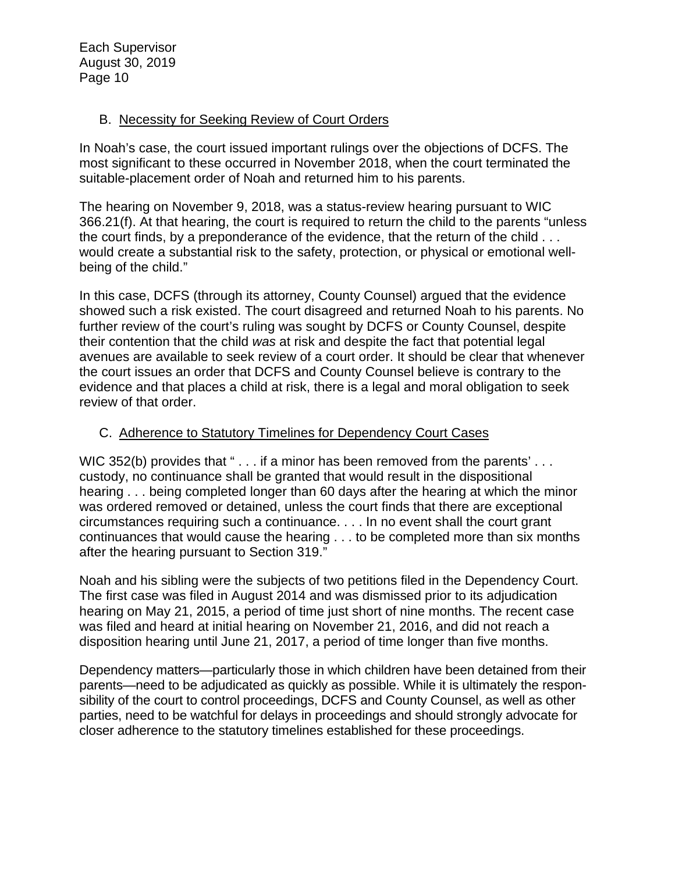### B. Necessity for Seeking Review of Court Orders

In Noah's case, the court issued important rulings over the objections of DCFS. The most significant to these occurred in November 2018, when the court terminated the suitable-placement order of Noah and returned him to his parents.

The hearing on November 9, 2018, was a status-review hearing pursuant to WIC 366.21(f). At that hearing, the court is required to return the child to the parents "unless the court finds, by a preponderance of the evidence, that the return of the child . . . would create a substantial risk to the safety, protection, or physical or emotional wellbeing of the child."

In this case, DCFS (through its attorney, County Counsel) argued that the evidence showed such a risk existed. The court disagreed and returned Noah to his parents. No further review of the court's ruling was sought by DCFS or County Counsel, despite their contention that the child *was* at risk and despite the fact that potential legal avenues are available to seek review of a court order. It should be clear that whenever the court issues an order that DCFS and County Counsel believe is contrary to the evidence and that places a child at risk, there is a legal and moral obligation to seek review of that order.

#### C. Adherence to Statutory Timelines for Dependency Court Cases

WIC 352(b) provides that " . . . if a minor has been removed from the parents' . . . custody, no continuance shall be granted that would result in the dispositional hearing . . . being completed longer than 60 days after the hearing at which the minor was ordered removed or detained, unless the court finds that there are exceptional circumstances requiring such a continuance. . . . In no event shall the court grant continuances that would cause the hearing . . . to be completed more than six months after the hearing pursuant to Section 319."

Noah and his sibling were the subjects of two petitions filed in the Dependency Court. The first case was filed in August 2014 and was dismissed prior to its adjudication hearing on May 21, 2015, a period of time just short of nine months. The recent case was filed and heard at initial hearing on November 21, 2016, and did not reach a disposition hearing until June 21, 2017, a period of time longer than five months.

Dependency matters—particularly those in which children have been detained from their parents—need to be adjudicated as quickly as possible. While it is ultimately the responsibility of the court to control proceedings, DCFS and County Counsel, as well as other parties, need to be watchful for delays in proceedings and should strongly advocate for closer adherence to the statutory timelines established for these proceedings.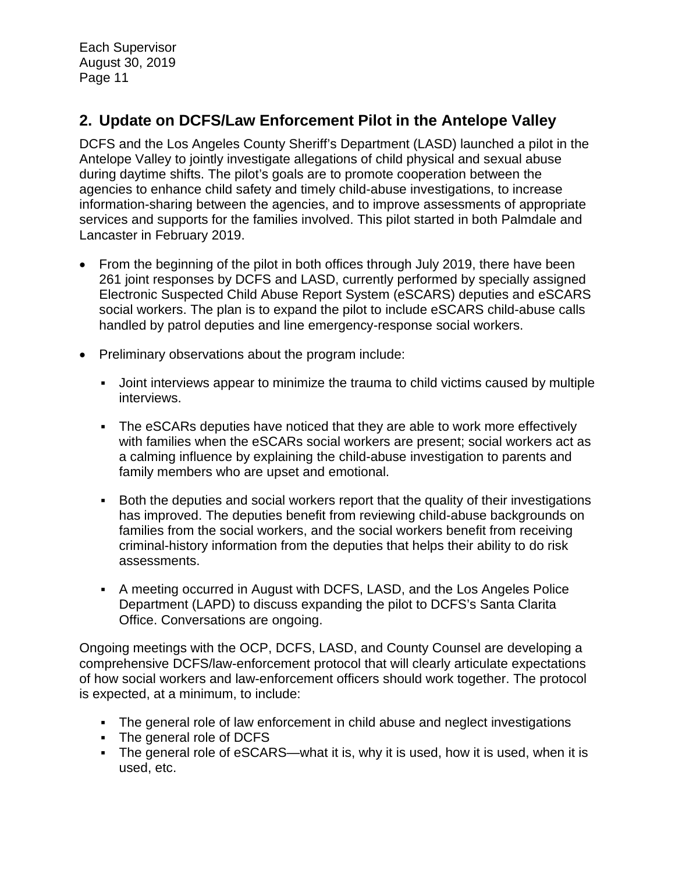# **2. Update on DCFS/Law Enforcement Pilot in the Antelope Valley**

DCFS and the Los Angeles County Sheriff's Department (LASD) launched a pilot in the Antelope Valley to jointly investigate allegations of child physical and sexual abuse during daytime shifts. The pilot's goals are to promote cooperation between the agencies to enhance child safety and timely child-abuse investigations, to increase information-sharing between the agencies, and to improve assessments of appropriate services and supports for the families involved. This pilot started in both Palmdale and Lancaster in February 2019.

- From the beginning of the pilot in both offices through July 2019, there have been 261 joint responses by DCFS and LASD, currently performed by specially assigned Electronic Suspected Child Abuse Report System (eSCARS) deputies and eSCARS social workers. The plan is to expand the pilot to include eSCARS child-abuse calls handled by patrol deputies and line emergency-response social workers.
- Preliminary observations about the program include:
	- Joint interviews appear to minimize the trauma to child victims caused by multiple interviews.
	- The eSCARs deputies have noticed that they are able to work more effectively with families when the eSCARs social workers are present; social workers act as a calming influence by explaining the child-abuse investigation to parents and family members who are upset and emotional.
	- Both the deputies and social workers report that the quality of their investigations has improved. The deputies benefit from reviewing child-abuse backgrounds on families from the social workers, and the social workers benefit from receiving criminal-history information from the deputies that helps their ability to do risk assessments.
	- A meeting occurred in August with DCFS, LASD, and the Los Angeles Police Department (LAPD) to discuss expanding the pilot to DCFS's Santa Clarita Office. Conversations are ongoing.

Ongoing meetings with the OCP, DCFS, LASD, and County Counsel are developing a comprehensive DCFS/law-enforcement protocol that will clearly articulate expectations of how social workers and law-enforcement officers should work together. The protocol is expected, at a minimum, to include:

- The general role of law enforcement in child abuse and neglect investigations
- The general role of DCFS
- **•** The general role of eSCARS—what it is, why it is used, how it is used, when it is used, etc.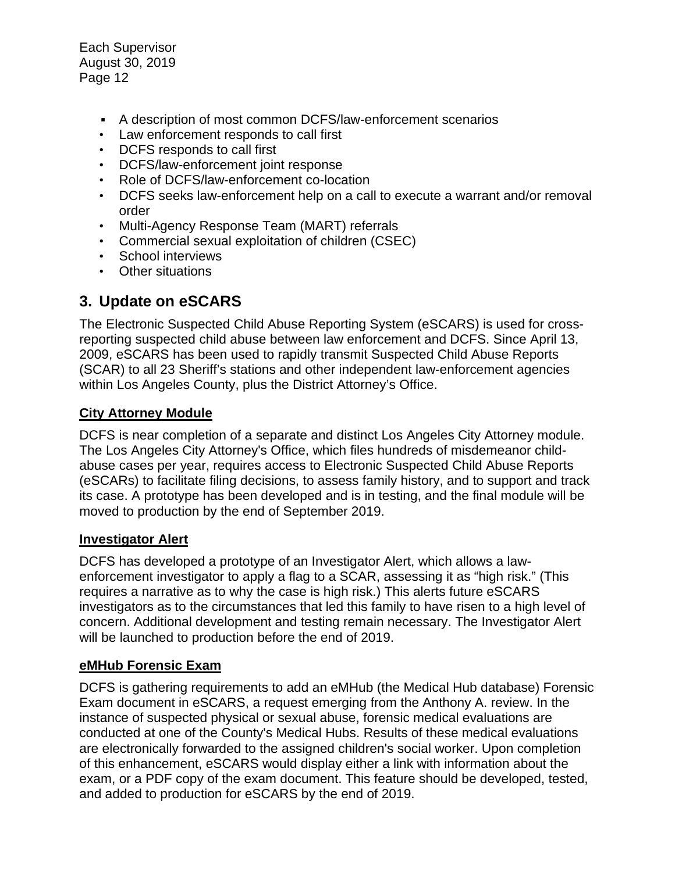- A description of most common DCFS/law-enforcement scenarios
- Law enforcement responds to call first
- DCFS responds to call first
- DCFS/law-enforcement joint response
- Role of DCFS/law-enforcement co-location
- DCFS seeks law-enforcement help on a call to execute a warrant and/or removal order
- Multi-Agency Response Team (MART) referrals
- Commercial sexual exploitation of children (CSEC)
- School interviews
- Other situations

## **3. Update on eSCARS**

The Electronic Suspected Child Abuse Reporting System (eSCARS) is used for crossreporting suspected child abuse between law enforcement and DCFS. Since April 13, 2009, eSCARS has been used to rapidly transmit Suspected Child Abuse Reports (SCAR) to all 23 Sheriff's stations and other independent law-enforcement agencies within Los Angeles County, plus the District Attorney's Office.

### **City Attorney Module**

DCFS is near completion of a separate and distinct Los Angeles City Attorney module. The Los Angeles City Attorney's Office, which files hundreds of misdemeanor childabuse cases per year, requires access to Electronic Suspected Child Abuse Reports (eSCARs) to facilitate filing decisions, to assess family history, and to support and track its case. A prototype has been developed and is in testing, and the final module will be moved to production by the end of September 2019.

#### **Investigator Alert**

DCFS has developed a prototype of an Investigator Alert, which allows a lawenforcement investigator to apply a flag to a SCAR, assessing it as "high risk." (This requires a narrative as to why the case is high risk.) This alerts future eSCARS investigators as to the circumstances that led this family to have risen to a high level of concern. Additional development and testing remain necessary. The Investigator Alert will be launched to production before the end of 2019.

#### **eMHub Forensic Exam**

DCFS is gathering requirements to add an eMHub (the Medical Hub database) Forensic Exam document in eSCARS, a request emerging from the Anthony A. review. In the instance of suspected physical or sexual abuse, forensic medical evaluations are conducted at one of the County's Medical Hubs. Results of these medical evaluations are electronically forwarded to the assigned children's social worker. Upon completion of this enhancement, eSCARS would display either a link with information about the exam, or a PDF copy of the exam document. This feature should be developed, tested, and added to production for eSCARS by the end of 2019.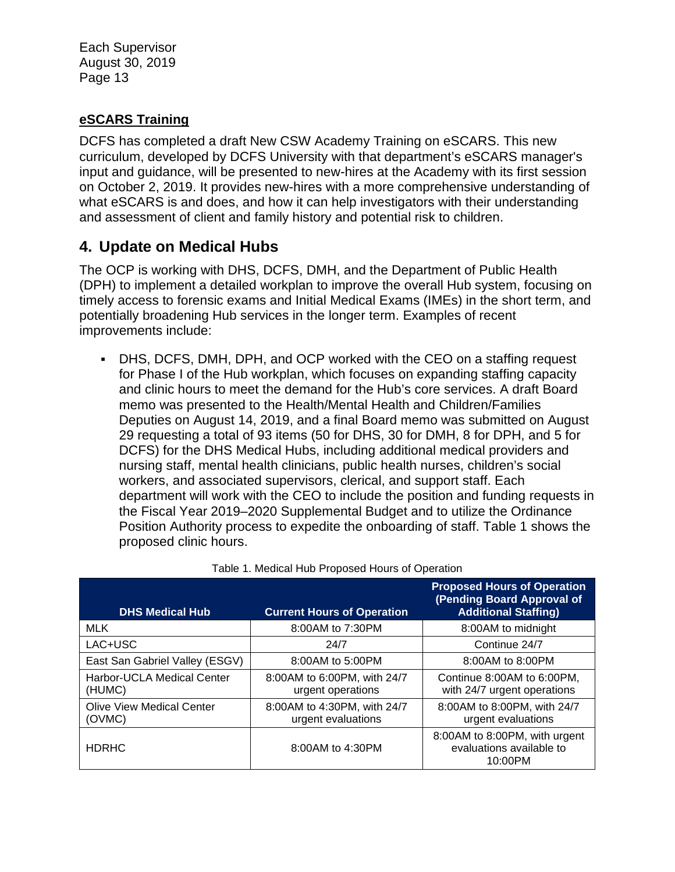### **eSCARS Training**

DCFS has completed a draft New CSW Academy Training on eSCARS. This new curriculum, developed by DCFS University with that department's eSCARS manager's input and guidance, will be presented to new-hires at the Academy with its first session on October 2, 2019. It provides new-hires with a more comprehensive understanding of what eSCARS is and does, and how it can help investigators with their understanding and assessment of client and family history and potential risk to children.

## **4. Update on Medical Hubs**

The OCP is working with DHS, DCFS, DMH, and the Department of Public Health (DPH) to implement a detailed workplan to improve the overall Hub system, focusing on timely access to forensic exams and Initial Medical Exams (IMEs) in the short term, and potentially broadening Hub services in the longer term. Examples of recent improvements include:

• DHS, DCFS, DMH, DPH, and OCP worked with the CEO on a staffing request for Phase I of the Hub workplan, which focuses on expanding staffing capacity and clinic hours to meet the demand for the Hub's core services. A draft Board memo was presented to the Health/Mental Health and Children/Families Deputies on August 14, 2019, and a final Board memo was submitted on August 29 requesting a total of 93 items (50 for DHS, 30 for DMH, 8 for DPH, and 5 for DCFS) for the DHS Medical Hubs, including additional medical providers and nursing staff, mental health clinicians, public health nurses, children's social workers, and associated supervisors, clerical, and support staff. Each department will work with the CEO to include the position and funding requests in the Fiscal Year 2019–2020 Supplemental Budget and to utilize the Ordinance Position Authority process to expedite the onboarding of staff. [Table 1](#page-12-0) shows the proposed clinic hours.

<span id="page-12-0"></span>

| <b>DHS Medical Hub</b>                      | <b>Current Hours of Operation</b>                 | <b>Proposed Hours of Operation</b><br>(Pending Board Approval of<br><b>Additional Staffing)</b> |
|---------------------------------------------|---------------------------------------------------|-------------------------------------------------------------------------------------------------|
| <b>MLK</b>                                  | 8:00 AM to 7:30 PM                                | 8:00AM to midnight                                                                              |
| LAC+USC                                     | 24/7                                              | Continue 24/7                                                                                   |
| East San Gabriel Valley (ESGV)              | 8:00AM to 5:00PM                                  | 8:00AM to 8:00PM                                                                                |
| <b>Harbor-UCLA Medical Center</b><br>(HUMC) | 8:00AM to 6:00PM, with 24/7<br>urgent operations  | Continue 8:00AM to 6:00PM,<br>with 24/7 urgent operations                                       |
| <b>Olive View Medical Center</b><br>(OVMC)  | 8:00AM to 4:30PM, with 24/7<br>urgent evaluations | 8:00AM to 8:00PM, with 24/7<br>urgent evaluations                                               |
| <b>HDRHC</b>                                | 8:00 AM to 4:30 PM                                | 8:00AM to 8:00PM, with urgent<br>evaluations available to<br>10:00PM                            |

|  | Table 1. Medical Hub Proposed Hours of Operation |  |  |
|--|--------------------------------------------------|--|--|
|  |                                                  |  |  |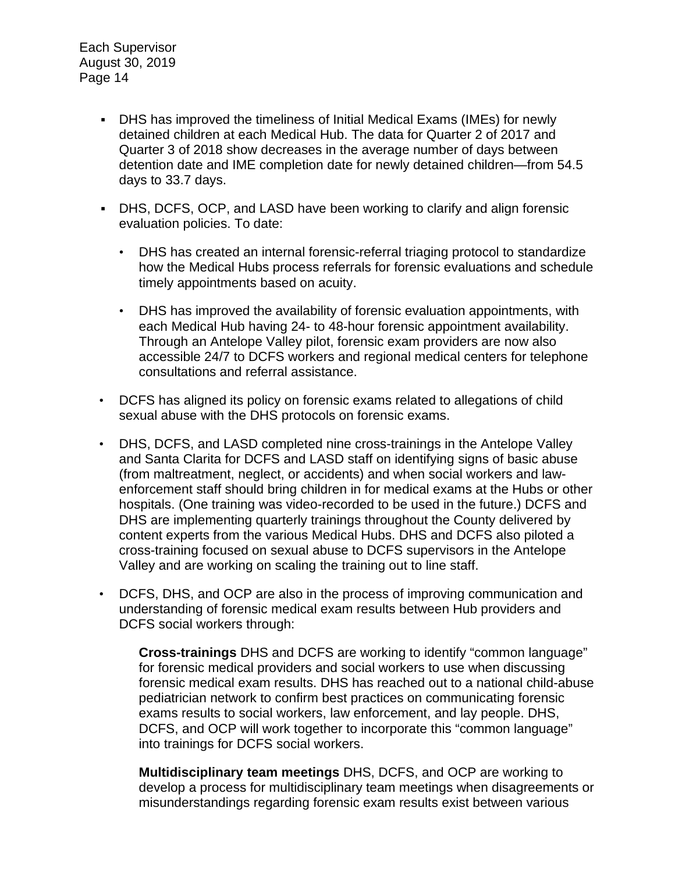- DHS has improved the timeliness of Initial Medical Exams (IMEs) for newly detained children at each Medical Hub. The data for Quarter 2 of 2017 and Quarter 3 of 2018 show decreases in the average number of days between detention date and IME completion date for newly detained children—from 54.5 days to 33.7 days.
- DHS, DCFS, OCP, and LASD have been working to clarify and align forensic evaluation policies. To date:
	- DHS has created an internal forensic-referral triaging protocol to standardize how the Medical Hubs process referrals for forensic evaluations and schedule timely appointments based on acuity.
	- DHS has improved the availability of forensic evaluation appointments, with each Medical Hub having 24- to 48-hour forensic appointment availability. Through an Antelope Valley pilot, forensic exam providers are now also accessible 24/7 to DCFS workers and regional medical centers for telephone consultations and referral assistance.
- DCFS has aligned its policy on forensic exams related to allegations of child sexual abuse with the DHS protocols on forensic exams.
- DHS, DCFS, and LASD completed nine cross-trainings in the Antelope Valley and Santa Clarita for DCFS and LASD staff on identifying signs of basic abuse (from maltreatment, neglect, or accidents) and when social workers and lawenforcement staff should bring children in for medical exams at the Hubs or other hospitals. (One training was video-recorded to be used in the future.) DCFS and DHS are implementing quarterly trainings throughout the County delivered by content experts from the various Medical Hubs. DHS and DCFS also piloted a cross-training focused on sexual abuse to DCFS supervisors in the Antelope Valley and are working on scaling the training out to line staff.
- DCFS, DHS, and OCP are also in the process of improving communication and understanding of forensic medical exam results between Hub providers and DCFS social workers through:

**Cross-trainings** DHS and DCFS are working to identify "common language" for forensic medical providers and social workers to use when discussing forensic medical exam results. DHS has reached out to a national child-abuse pediatrician network to confirm best practices on communicating forensic exams results to social workers, law enforcement, and lay people. DHS, DCFS, and OCP will work together to incorporate this "common language" into trainings for DCFS social workers.

**Multidisciplinary team meetings** DHS, DCFS, and OCP are working to develop a process for multidisciplinary team meetings when disagreements or misunderstandings regarding forensic exam results exist between various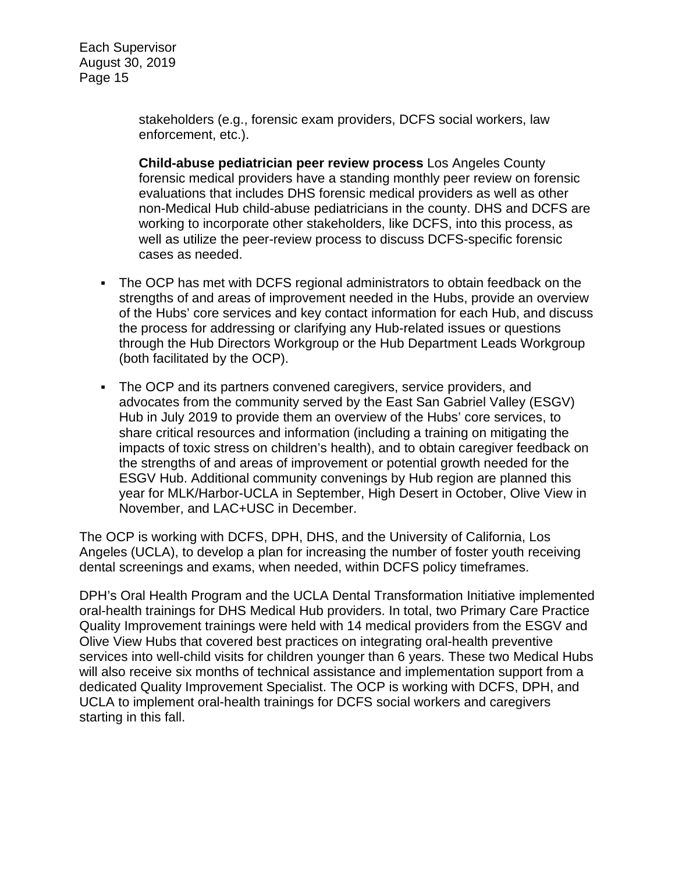> stakeholders (e.g., forensic exam providers, DCFS social workers, law enforcement, etc.).

**Child-abuse pediatrician peer review process** Los Angeles County forensic medical providers have a standing monthly peer review on forensic evaluations that includes DHS forensic medical providers as well as other non-Medical Hub child-abuse pediatricians in the county. DHS and DCFS are working to incorporate other stakeholders, like DCFS, into this process, as well as utilize the peer-review process to discuss DCFS-specific forensic cases as needed.

- The OCP has met with DCFS regional administrators to obtain feedback on the strengths of and areas of improvement needed in the Hubs, provide an overview of the Hubs' core services and key contact information for each Hub, and discuss the process for addressing or clarifying any Hub-related issues or questions through the Hub Directors Workgroup or the Hub Department Leads Workgroup (both facilitated by the OCP).
- The OCP and its partners convened caregivers, service providers, and advocates from the community served by the East San Gabriel Valley (ESGV) Hub in July 2019 to provide them an overview of the Hubs' core services, to share critical resources and information (including a training on mitigating the impacts of toxic stress on children's health), and to obtain caregiver feedback on the strengths of and areas of improvement or potential growth needed for the ESGV Hub. Additional community convenings by Hub region are planned this year for MLK/Harbor-UCLA in September, High Desert in October, Olive View in November, and LAC+USC in December.

The OCP is working with DCFS, DPH, DHS, and the University of California, Los Angeles (UCLA), to develop a plan for increasing the number of foster youth receiving dental screenings and exams, when needed, within DCFS policy timeframes.

DPH's Oral Health Program and the UCLA Dental Transformation Initiative implemented oral-health trainings for DHS Medical Hub providers. In total, two Primary Care Practice Quality Improvement trainings were held with 14 medical providers from the ESGV and Olive View Hubs that covered best practices on integrating oral-health preventive services into well-child visits for children younger than 6 years. These two Medical Hubs will also receive six months of technical assistance and implementation support from a dedicated Quality Improvement Specialist. The OCP is working with DCFS, DPH, and UCLA to implement oral-health trainings for DCFS social workers and caregivers starting in this fall.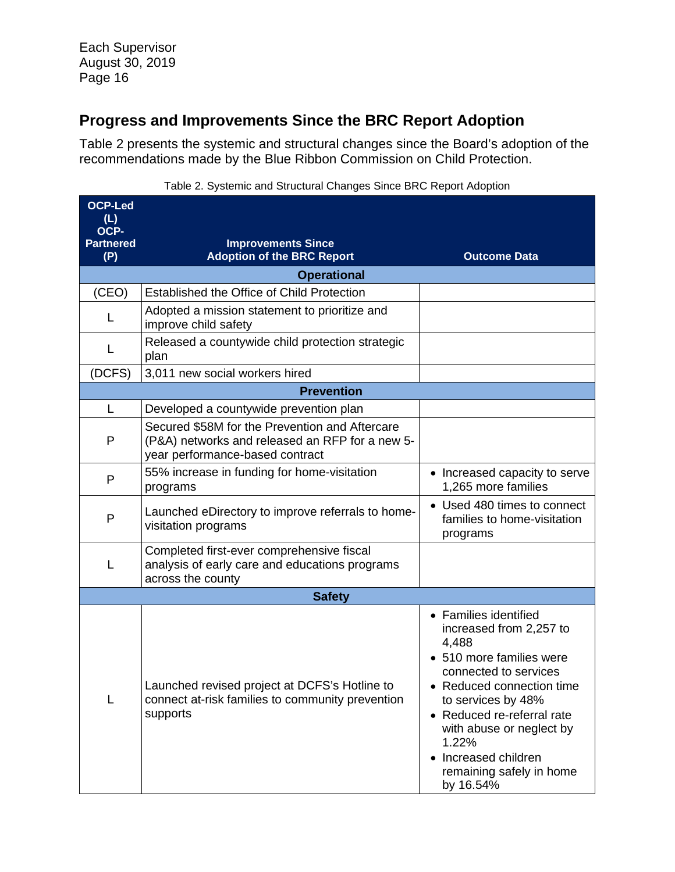# **Progress and Improvements Since the BRC Report Adoption**

[Table 2](#page-15-0) presents the systemic and structural changes since the Board's adoption of the recommendations made by the Blue Ribbon Commission on Child Protection.

<span id="page-15-0"></span>

| <b>OCP-Led</b><br>(L)<br>OCP-<br><b>Partnered</b><br>(P) | <b>Improvements Since</b><br><b>Adoption of the BRC Report</b>                                                                       | <b>Outcome Data</b>                                                                                                                                                                                                                                                                                 |  |  |  |
|----------------------------------------------------------|--------------------------------------------------------------------------------------------------------------------------------------|-----------------------------------------------------------------------------------------------------------------------------------------------------------------------------------------------------------------------------------------------------------------------------------------------------|--|--|--|
|                                                          | <b>Operational</b>                                                                                                                   |                                                                                                                                                                                                                                                                                                     |  |  |  |
| (CEO)                                                    | Established the Office of Child Protection                                                                                           |                                                                                                                                                                                                                                                                                                     |  |  |  |
| L                                                        | Adopted a mission statement to prioritize and<br>improve child safety                                                                |                                                                                                                                                                                                                                                                                                     |  |  |  |
| L                                                        | Released a countywide child protection strategic<br>plan                                                                             |                                                                                                                                                                                                                                                                                                     |  |  |  |
| (DCFS)                                                   | 3,011 new social workers hired                                                                                                       |                                                                                                                                                                                                                                                                                                     |  |  |  |
|                                                          | <b>Prevention</b>                                                                                                                    |                                                                                                                                                                                                                                                                                                     |  |  |  |
| L                                                        | Developed a countywide prevention plan                                                                                               |                                                                                                                                                                                                                                                                                                     |  |  |  |
| P                                                        | Secured \$58M for the Prevention and Aftercare<br>(P&A) networks and released an RFP for a new 5-<br>year performance-based contract |                                                                                                                                                                                                                                                                                                     |  |  |  |
| P                                                        | 55% increase in funding for home-visitation<br>programs                                                                              | • Increased capacity to serve<br>1,265 more families                                                                                                                                                                                                                                                |  |  |  |
| $\mathsf{P}$                                             | Launched eDirectory to improve referrals to home-<br>visitation programs                                                             | • Used 480 times to connect<br>families to home-visitation<br>programs                                                                                                                                                                                                                              |  |  |  |
| L                                                        | Completed first-ever comprehensive fiscal<br>analysis of early care and educations programs<br>across the county                     |                                                                                                                                                                                                                                                                                                     |  |  |  |
| <b>Safety</b>                                            |                                                                                                                                      |                                                                                                                                                                                                                                                                                                     |  |  |  |
| L                                                        | Launched revised project at DCFS's Hotline to<br>connect at-risk families to community prevention<br>supports                        | • Families identified<br>increased from 2,257 to<br>4,488<br>• 510 more families were<br>connected to services<br>Reduced connection time<br>to services by 48%<br>• Reduced re-referral rate<br>with abuse or neglect by<br>1.22%<br>• Increased children<br>remaining safely in home<br>by 16.54% |  |  |  |

Table 2. Systemic and Structural Changes Since BRC Report Adoption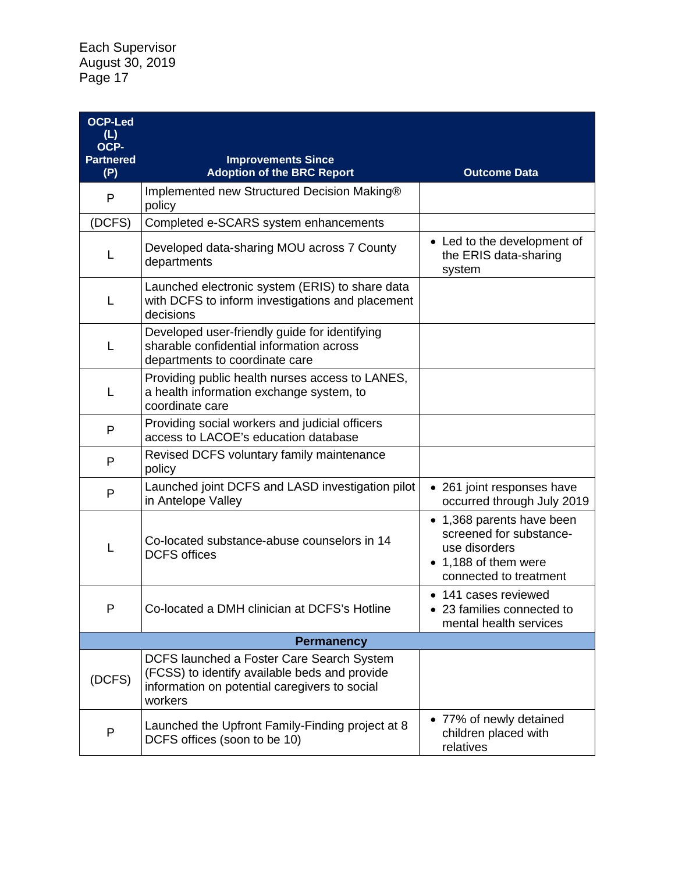| <b>OCP-Led</b><br>(L)<br>OCP- |                                                                                                                                                        |                                                                                                                         |  |  |
|-------------------------------|--------------------------------------------------------------------------------------------------------------------------------------------------------|-------------------------------------------------------------------------------------------------------------------------|--|--|
| <b>Partnered</b><br>(P)       | <b>Improvements Since</b><br><b>Adoption of the BRC Report</b>                                                                                         | <b>Outcome Data</b>                                                                                                     |  |  |
| P                             | Implemented new Structured Decision Making®<br>policy                                                                                                  |                                                                                                                         |  |  |
| (DCFS)                        | Completed e-SCARS system enhancements                                                                                                                  |                                                                                                                         |  |  |
| L                             | Developed data-sharing MOU across 7 County<br>departments                                                                                              | • Led to the development of<br>the ERIS data-sharing<br>system                                                          |  |  |
| L                             | Launched electronic system (ERIS) to share data<br>with DCFS to inform investigations and placement<br>decisions                                       |                                                                                                                         |  |  |
| L                             | Developed user-friendly guide for identifying<br>sharable confidential information across<br>departments to coordinate care                            |                                                                                                                         |  |  |
| L                             | Providing public health nurses access to LANES,<br>a health information exchange system, to<br>coordinate care                                         |                                                                                                                         |  |  |
| P                             | Providing social workers and judicial officers<br>access to LACOE's education database                                                                 |                                                                                                                         |  |  |
| $\mathsf{P}$                  | Revised DCFS voluntary family maintenance<br>policy                                                                                                    |                                                                                                                         |  |  |
| P                             | Launched joint DCFS and LASD investigation pilot<br>in Antelope Valley                                                                                 | • 261 joint responses have<br>occurred through July 2019                                                                |  |  |
| L                             | Co-located substance-abuse counselors in 14<br><b>DCFS</b> offices                                                                                     | • 1,368 parents have been<br>screened for substance-<br>use disorders<br>• 1,188 of them were<br>connected to treatment |  |  |
| P                             | Co-located a DMH clinician at DCFS's Hotline                                                                                                           | • 141 cases reviewed<br>• 23 families connected to<br>mental health services                                            |  |  |
| <b>Permanency</b>             |                                                                                                                                                        |                                                                                                                         |  |  |
| (DCFS)                        | DCFS launched a Foster Care Search System<br>(FCSS) to identify available beds and provide<br>information on potential caregivers to social<br>workers |                                                                                                                         |  |  |
| P                             | Launched the Upfront Family-Finding project at 8<br>DCFS offices (soon to be 10)                                                                       | • 77% of newly detained<br>children placed with<br>relatives                                                            |  |  |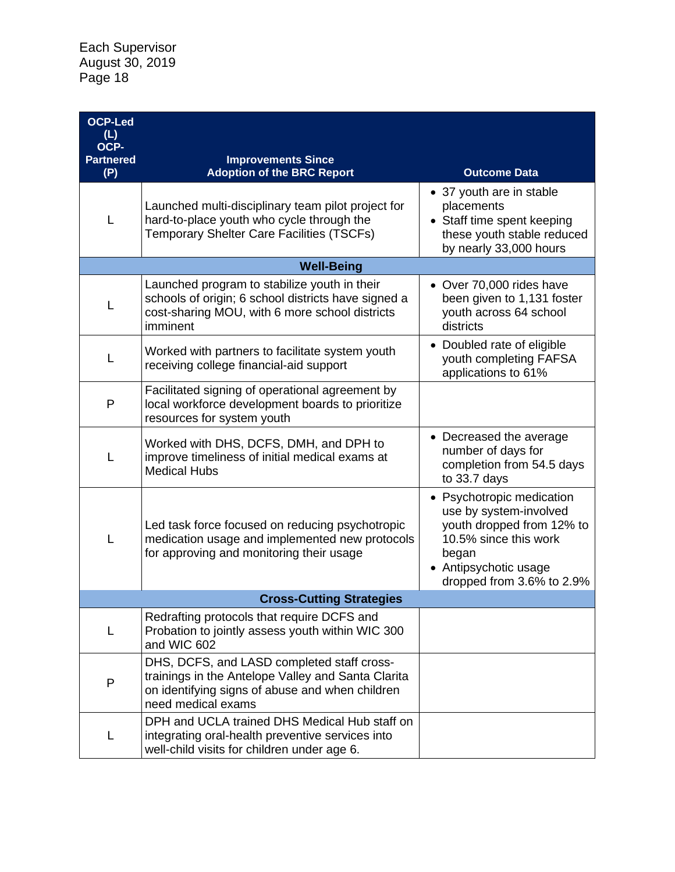| <b>OCP-Led</b><br>(L)           |                                                                                                                                                                           |                                                                                                                                                                          |  |  |  |
|---------------------------------|---------------------------------------------------------------------------------------------------------------------------------------------------------------------------|--------------------------------------------------------------------------------------------------------------------------------------------------------------------------|--|--|--|
| OCP-<br><b>Partnered</b>        | <b>Improvements Since</b>                                                                                                                                                 |                                                                                                                                                                          |  |  |  |
| (P)                             | <b>Adoption of the BRC Report</b>                                                                                                                                         | <b>Outcome Data</b>                                                                                                                                                      |  |  |  |
| L                               | Launched multi-disciplinary team pilot project for<br>hard-to-place youth who cycle through the<br>Temporary Shelter Care Facilities (TSCFs)                              | • 37 youth are in stable<br>placements<br>• Staff time spent keeping<br>these youth stable reduced<br>by nearly 33,000 hours                                             |  |  |  |
|                                 | <b>Well-Being</b>                                                                                                                                                         |                                                                                                                                                                          |  |  |  |
| L                               | Launched program to stabilize youth in their<br>schools of origin; 6 school districts have signed a<br>cost-sharing MOU, with 6 more school districts<br>imminent         | • Over 70,000 rides have<br>been given to 1,131 foster<br>youth across 64 school<br>districts                                                                            |  |  |  |
| L                               | Worked with partners to facilitate system youth<br>receiving college financial-aid support                                                                                | • Doubled rate of eligible<br>youth completing FAFSA<br>applications to 61%                                                                                              |  |  |  |
| P                               | Facilitated signing of operational agreement by<br>local workforce development boards to prioritize<br>resources for system youth                                         |                                                                                                                                                                          |  |  |  |
| L                               | Worked with DHS, DCFS, DMH, and DPH to<br>improve timeliness of initial medical exams at<br><b>Medical Hubs</b>                                                           | • Decreased the average<br>number of days for<br>completion from 54.5 days<br>to 33.7 days                                                                               |  |  |  |
| L                               | Led task force focused on reducing psychotropic<br>medication usage and implemented new protocols<br>for approving and monitoring their usage                             | • Psychotropic medication<br>use by system-involved<br>youth dropped from 12% to<br>10.5% since this work<br>began<br>• Antipsychotic usage<br>dropped from 3.6% to 2.9% |  |  |  |
| <b>Cross-Cutting Strategies</b> |                                                                                                                                                                           |                                                                                                                                                                          |  |  |  |
| L                               | Redrafting protocols that require DCFS and<br>Probation to jointly assess youth within WIC 300<br>and WIC 602                                                             |                                                                                                                                                                          |  |  |  |
| $\mathsf{P}$                    | DHS, DCFS, and LASD completed staff cross-<br>trainings in the Antelope Valley and Santa Clarita<br>on identifying signs of abuse and when children<br>need medical exams |                                                                                                                                                                          |  |  |  |
| L                               | DPH and UCLA trained DHS Medical Hub staff on<br>integrating oral-health preventive services into<br>well-child visits for children under age 6.                          |                                                                                                                                                                          |  |  |  |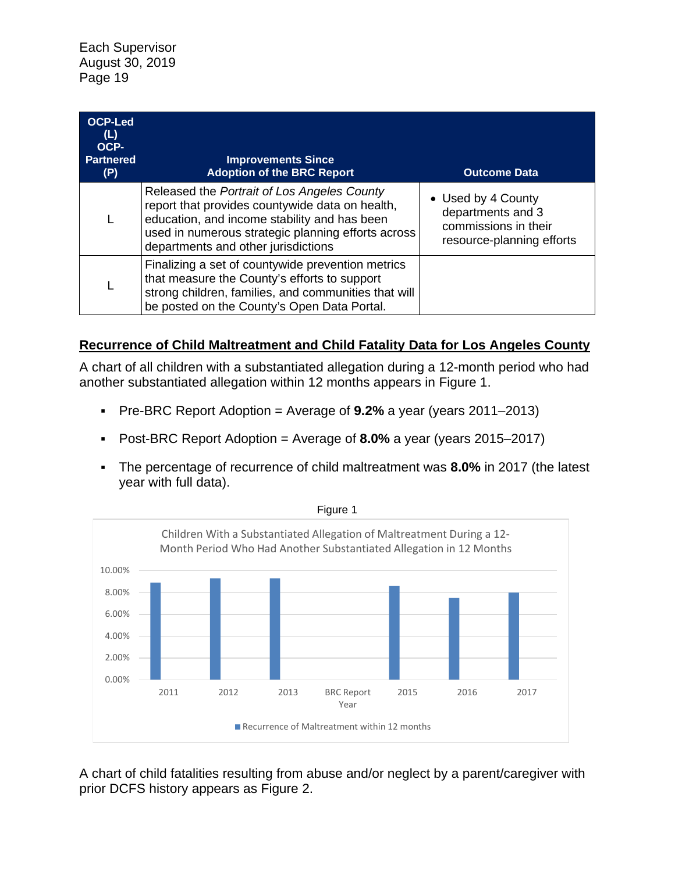| <b>OCP-Led</b><br>(L)<br>OCP-<br><b>Partnered</b><br>(P) | <b>Improvements Since</b><br><b>Adoption of the BRC Report</b>                                                                                                                                                                              | <b>Outcome Data</b>                                                                          |
|----------------------------------------------------------|---------------------------------------------------------------------------------------------------------------------------------------------------------------------------------------------------------------------------------------------|----------------------------------------------------------------------------------------------|
|                                                          | Released the Portrait of Los Angeles County<br>report that provides countywide data on health,<br>education, and income stability and has been<br>used in numerous strategic planning efforts across<br>departments and other jurisdictions | • Used by 4 County<br>departments and 3<br>commissions in their<br>resource-planning efforts |
|                                                          | Finalizing a set of countywide prevention metrics<br>that measure the County's efforts to support<br>strong children, families, and communities that will<br>be posted on the County's Open Data Portal.                                    |                                                                                              |

#### **Recurrence of Child Maltreatment and Child Fatality Data for Los Angeles County**

A chart of all children with a substantiated allegation during a 12-month period who had another substantiated allegation within 12 months appears in Figure 1.

- Pre-BRC Report Adoption = Average of **9.2%** a year (years 2011–2013)
- Post-BRC Report Adoption = Average of **8.0%** a year (years 2015–2017)
- The percentage of recurrence of child maltreatment was **8.0%** in 2017 (the latest year with full data).



Figure 1

A chart of child fatalities resulting from abuse and/or neglect by a parent/caregiver with prior DCFS history appears as [Figure 2.](#page-19-0)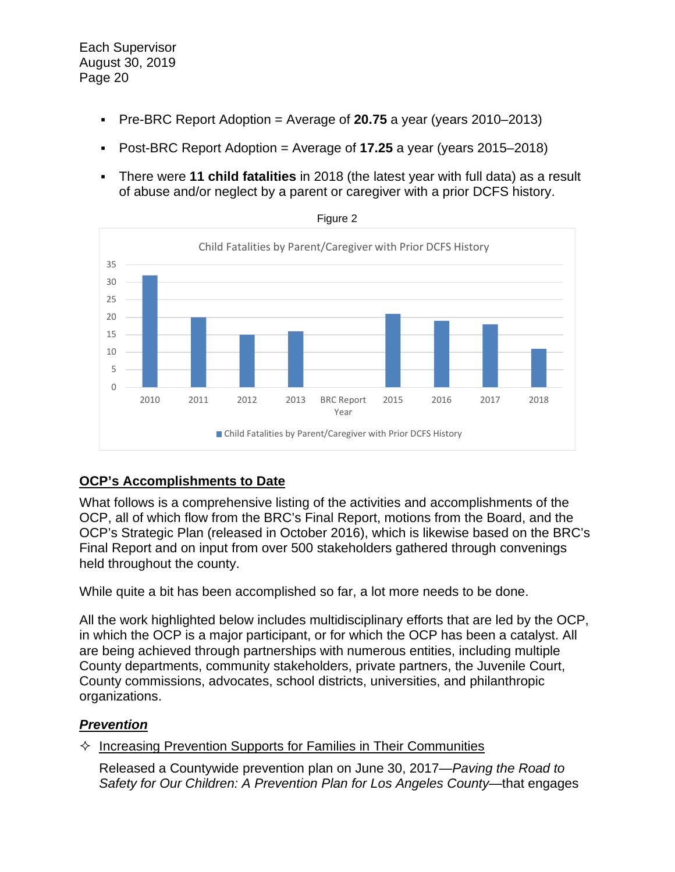- Pre-BRC Report Adoption = Average of **20.75** a year (years 2010–2013)
- Post-BRC Report Adoption = Average of **17.25** a year (years 2015–2018)
- There were **11 child fatalities** in 2018 (the latest year with full data) as a result of abuse and/or neglect by a parent or caregiver with a prior DCFS history.

<span id="page-19-0"></span>



## **OCP's Accomplishments to Date**

What follows is a comprehensive listing of the activities and accomplishments of the OCP, all of which flow from the BRC's Final Report, motions from the Board, and the OCP's Strategic Plan (released in October 2016), which is likewise based on the BRC's Final Report and on input from over 500 stakeholders gathered through convenings held throughout the county.

While quite a bit has been accomplished so far, a lot more needs to be done.

All the work highlighted below includes multidisciplinary efforts that are led by the OCP, in which the OCP is a major participant, or for which the OCP has been a catalyst. All are being achieved through partnerships with numerous entities, including multiple County departments, community stakeholders, private partners, the Juvenile Court, County commissions, advocates, school districts, universities, and philanthropic organizations.

#### *Prevention*

 $\Diamond$  Increasing Prevention Supports for Families in Their Communities

Released a Countywide prevention plan on June 30, 2017—*Paving the Road to Safety for Our Children: A Prevention Plan for Los Angeles County*—that engages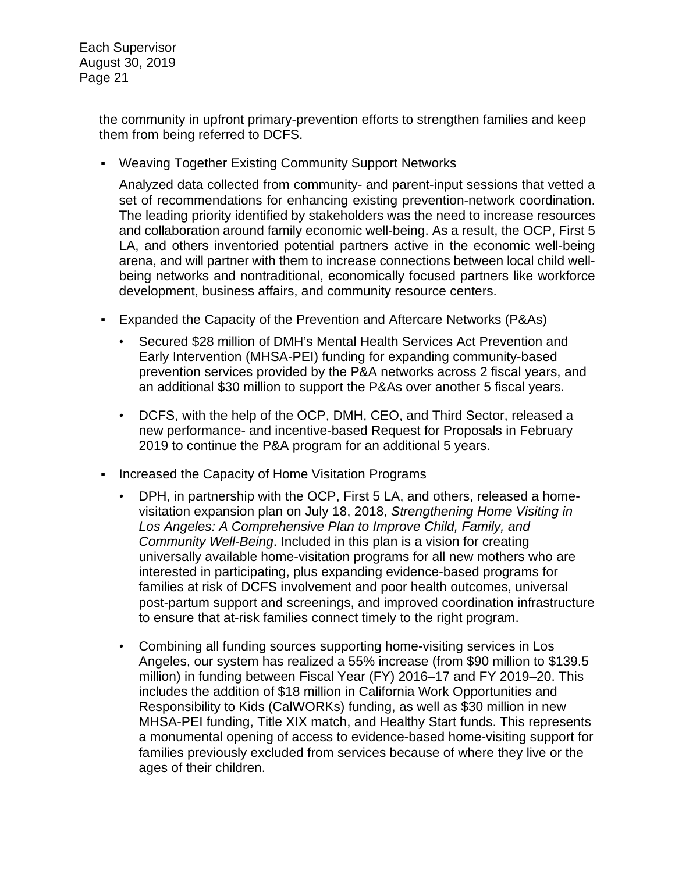> the community in upfront primary-prevention efforts to strengthen families and keep them from being referred to DCFS.

▪ Weaving Together Existing Community Support Networks

Analyzed data collected from community- and parent-input sessions that vetted a set of recommendations for enhancing existing prevention-network coordination. The leading priority identified by stakeholders was the need to increase resources and collaboration around family economic well-being. As a result, the OCP, First 5 LA, and others inventoried potential partners active in the economic well-being arena, and will partner with them to increase connections between local child wellbeing networks and nontraditional, economically focused partners like workforce development, business affairs, and community resource centers.

- Expanded the Capacity of the Prevention and Aftercare Networks (P&As)
	- Secured \$28 million of DMH's Mental Health Services Act Prevention and Early Intervention (MHSA-PEI) funding for expanding community-based prevention services provided by the P&A networks across 2 fiscal years, and an additional \$30 million to support the P&As over another 5 fiscal years.
	- DCFS, with the help of the OCP, DMH, CEO, and Third Sector, released a new performance- and incentive-based Request for Proposals in February 2019 to continue the P&A program for an additional 5 years.
- **Increased the Capacity of Home Visitation Programs** 
	- DPH, in partnership with the OCP, First 5 LA, and others, released a homevisitation expansion plan on July 18, 2018, *Strengthening Home Visiting in Los Angeles: A Comprehensive Plan to Improve Child, Family, and Community Well-Being*. Included in this plan is a vision for creating universally available home-visitation programs for all new mothers who are interested in participating, plus expanding evidence-based programs for families at risk of DCFS involvement and poor health outcomes, universal post-partum support and screenings, and improved coordination infrastructure to ensure that at-risk families connect timely to the right program.
	- Combining all funding sources supporting home-visiting services in Los Angeles, our system has realized a 55% increase (from \$90 million to \$139.5 million) in funding between Fiscal Year (FY) 2016–17 and FY 2019–20. This includes the addition of \$18 million in California Work Opportunities and Responsibility to Kids (CalWORKs) funding, as well as \$30 million in new MHSA-PEI funding, Title XIX match, and Healthy Start funds. This represents a monumental opening of access to evidence-based home-visiting support for families previously excluded from services because of where they live or the ages of their children.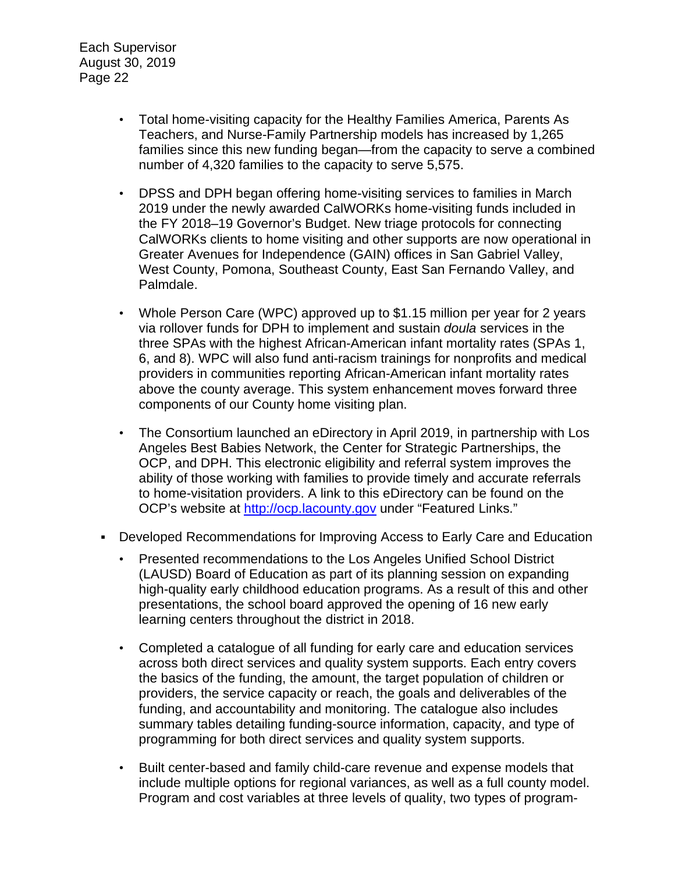- Total home-visiting capacity for the Healthy Families America, Parents As Teachers, and Nurse-Family Partnership models has increased by 1,265 families since this new funding began—from the capacity to serve a combined number of 4,320 families to the capacity to serve 5,575.
- DPSS and DPH began offering home-visiting services to families in March 2019 under the newly awarded CalWORKs home-visiting funds included in the FY 2018–19 Governor's Budget. New triage protocols for connecting CalWORKs clients to home visiting and other supports are now operational in Greater Avenues for Independence (GAIN) offices in San Gabriel Valley, West County, Pomona, Southeast County, East San Fernando Valley, and Palmdale.
- Whole Person Care (WPC) approved up to \$1.15 million per year for 2 years via rollover funds for DPH to implement and sustain *doula* services in the three SPAs with the highest African-American infant mortality rates (SPAs 1, 6, and 8). WPC will also fund anti-racism trainings for nonprofits and medical providers in communities reporting African-American infant mortality rates above the county average. This system enhancement moves forward three components of our County home visiting plan.
- The Consortium launched an eDirectory in April 2019, in partnership with Los Angeles Best Babies Network, the Center for Strategic Partnerships, the OCP, and DPH. This electronic eligibility and referral system improves the ability of those working with families to provide timely and accurate referrals to home-visitation providers. A link to this eDirectory can be found on the OCP's website at [http://ocp.lacounty.gov](http://ocp.lacounty.gov/) under "Featured Links."
- Developed Recommendations for Improving Access to Early Care and Education
	- Presented recommendations to the Los Angeles Unified School District (LAUSD) Board of Education as part of its planning session on expanding high-quality early childhood education programs. As a result of this and other presentations, the school board approved the opening of 16 new early learning centers throughout the district in 2018.
	- Completed a catalogue of all funding for early care and education services across both direct services and quality system supports. Each entry covers the basics of the funding, the amount, the target population of children or providers, the service capacity or reach, the goals and deliverables of the funding, and accountability and monitoring. The catalogue also includes summary tables detailing funding-source information, capacity, and type of programming for both direct services and quality system supports.
	- Built center-based and family child-care revenue and expense models that include multiple options for regional variances, as well as a full county model. Program and cost variables at three levels of quality, two types of program-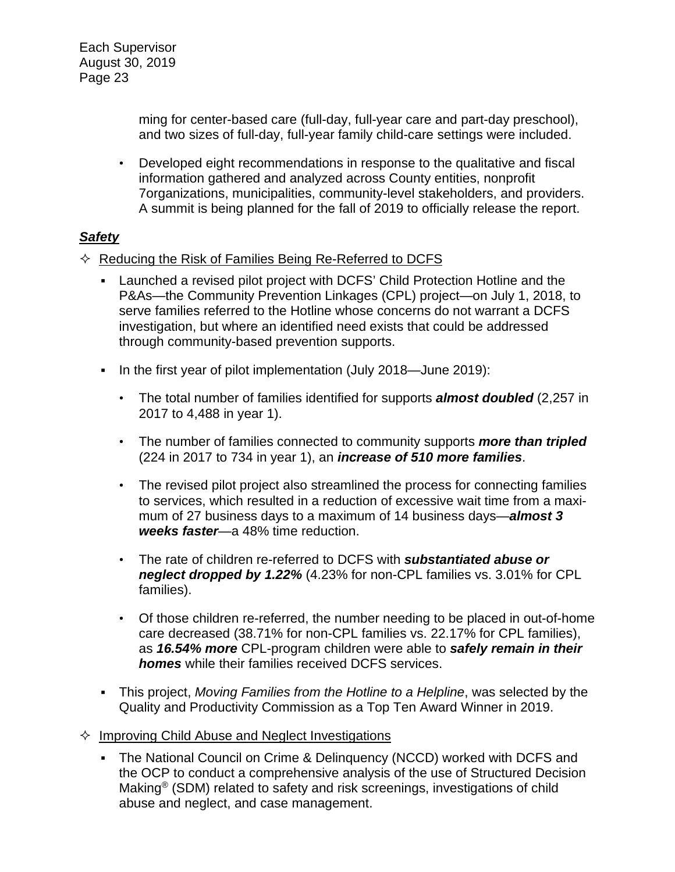> ming for center-based care (full-day, full-year care and part-day preschool), and two sizes of full-day, full-year family child-care settings were included.

• Developed eight recommendations in response to the qualitative and fiscal information gathered and analyzed across County entities, nonprofit 7organizations, municipalities, community-level stakeholders, and providers. A summit is being planned for the fall of 2019 to officially release the report.

## *Safety*

- $\Diamond$  Reducing the Risk of Families Being Re-Referred to DCFS
	- **EXECT** Launched a revised pilot project with DCFS' Child Protection Hotline and the P&As—the Community Prevention Linkages (CPL) project—on July 1, 2018, to serve families referred to the Hotline whose concerns do not warrant a DCFS investigation, but where an identified need exists that could be addressed through community-based prevention supports.
	- In the first year of pilot implementation (July 2018—June 2019):
		- The total number of families identified for supports *almost doubled* (2,257 in 2017 to 4,488 in year 1).
		- The number of families connected to community supports *more than tripled* (224 in 2017 to 734 in year 1), an *increase of 510 more families*.
		- The revised pilot project also streamlined the process for connecting families to services, which resulted in a reduction of excessive wait time from a maximum of 27 business days to a maximum of 14 business days—*almost 3 weeks faster*—a 48% time reduction.
		- The rate of children re-referred to DCFS with *substantiated abuse or neglect dropped by 1.22%* (4.23% for non-CPL families vs. 3.01% for CPL families).
		- Of those children re-referred, the number needing to be placed in out-of-home care decreased (38.71% for non-CPL families vs. 22.17% for CPL families), as *16.54% more* CPL-program children were able to *safely remain in their homes* while their families received DCFS services.
	- This project, *Moving Families from the Hotline to a Helpline*, was selected by the Quality and Productivity Commission as a Top Ten Award Winner in 2019.
- $\Diamond$  Improving Child Abuse and Neglect Investigations
	- The National Council on Crime & Delinquency (NCCD) worked with DCFS and the OCP to conduct a comprehensive analysis of the use of Structured Decision Making® (SDM) related to safety and risk screenings, investigations of child abuse and neglect, and case management.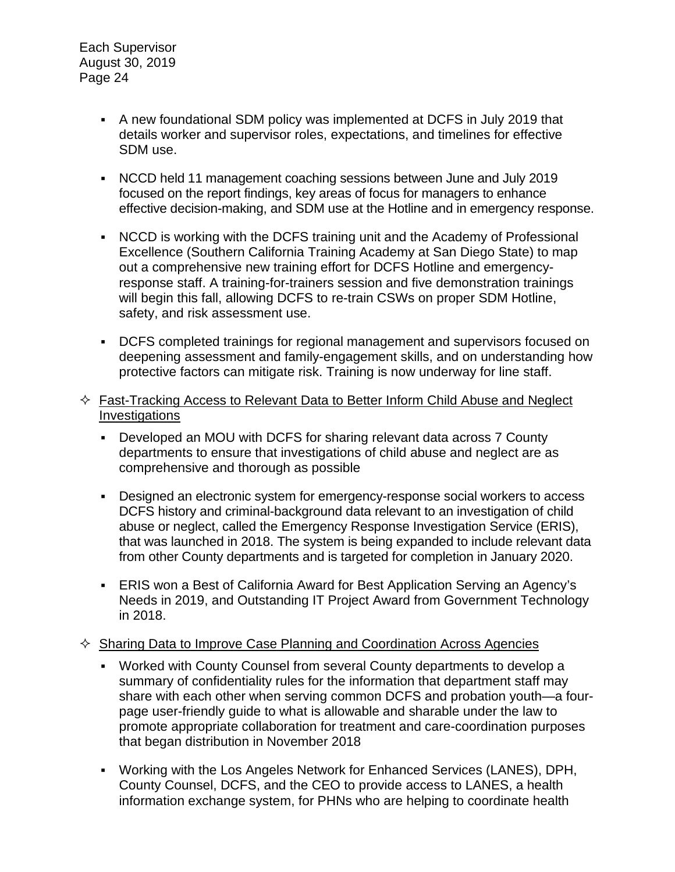- A new foundational SDM policy was implemented at DCFS in July 2019 that details worker and supervisor roles, expectations, and timelines for effective SDM use.
- NCCD held 11 management coaching sessions between June and July 2019 focused on the report findings, key areas of focus for managers to enhance effective decision-making, and SDM use at the Hotline and in emergency response.
- NCCD is working with the DCFS training unit and the Academy of Professional Excellence (Southern California Training Academy at San Diego State) to map out a comprehensive new training effort for DCFS Hotline and emergencyresponse staff. A training-for-trainers session and five demonstration trainings will begin this fall, allowing DCFS to re-train CSWs on proper SDM Hotline, safety, and risk assessment use.
- DCFS completed trainings for regional management and supervisors focused on deepening assessment and family-engagement skills, and on understanding how protective factors can mitigate risk. Training is now underway for line staff.
- $\Diamond$  Fast-Tracking Access to Relevant Data to Better Inform Child Abuse and Neglect **Investigations** 
	- Developed an MOU with DCFS for sharing relevant data across 7 County departments to ensure that investigations of child abuse and neglect are as comprehensive and thorough as possible
	- **Designed an electronic system for emergency-response social workers to access** DCFS history and criminal-background data relevant to an investigation of child abuse or neglect, called the Emergency Response Investigation Service (ERIS), that was launched in 2018. The system is being expanded to include relevant data from other County departments and is targeted for completion in January 2020.
	- ERIS won a Best of California Award for Best Application Serving an Agency's Needs in 2019, and Outstanding IT Project Award from Government Technology in 2018.

#### $\Diamond$  Sharing Data to Improve Case Planning and Coordination Across Agencies

- Worked with County Counsel from several County departments to develop a summary of confidentiality rules for the information that department staff may share with each other when serving common DCFS and probation youth—a fourpage user-friendly guide to what is allowable and sharable under the law to promote appropriate collaboration for treatment and care-coordination purposes that began distribution in November 2018
- Working with the Los Angeles Network for Enhanced Services (LANES), DPH, County Counsel, DCFS, and the CEO to provide access to LANES, a health information exchange system, for PHNs who are helping to coordinate health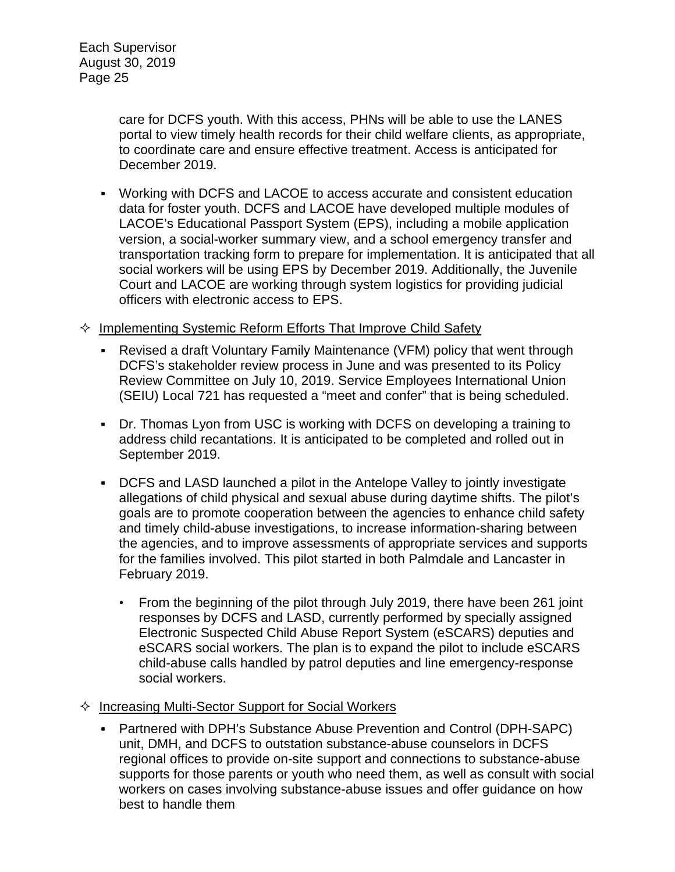care for DCFS youth. With this access, PHNs will be able to use the LANES portal to view timely health records for their child welfare clients, as appropriate, to coordinate care and ensure effective treatment. Access is anticipated for December 2019.

- Working with DCFS and LACOE to access accurate and consistent education data for foster youth. DCFS and LACOE have developed multiple modules of LACOE's Educational Passport System (EPS), including a mobile application version, a social-worker summary view, and a school emergency transfer and transportation tracking form to prepare for implementation. It is anticipated that all social workers will be using EPS by December 2019. Additionally, the Juvenile Court and LACOE are working through system logistics for providing judicial officers with electronic access to EPS.
- $\Diamond$  Implementing Systemic Reform Efforts That Improve Child Safety
	- Revised a draft Voluntary Family Maintenance (VFM) policy that went through DCFS's stakeholder review process in June and was presented to its Policy Review Committee on July 10, 2019. Service Employees International Union (SEIU) Local 721 has requested a "meet and confer" that is being scheduled.
	- Dr. Thomas Lyon from USC is working with DCFS on developing a training to address child recantations. It is anticipated to be completed and rolled out in September 2019.
	- DCFS and LASD launched a pilot in the Antelope Valley to jointly investigate allegations of child physical and sexual abuse during daytime shifts. The pilot's goals are to promote cooperation between the agencies to enhance child safety and timely child-abuse investigations, to increase information-sharing between the agencies, and to improve assessments of appropriate services and supports for the families involved. This pilot started in both Palmdale and Lancaster in February 2019.
		- From the beginning of the pilot through July 2019, there have been 261 joint responses by DCFS and LASD, currently performed by specially assigned Electronic Suspected Child Abuse Report System (eSCARS) deputies and eSCARS social workers. The plan is to expand the pilot to include eSCARS child-abuse calls handled by patrol deputies and line emergency-response social workers.
- $\Diamond$  Increasing Multi-Sector Support for Social Workers
	- Partnered with DPH's Substance Abuse Prevention and Control (DPH-SAPC) unit, DMH, and DCFS to outstation substance-abuse counselors in DCFS regional offices to provide on-site support and connections to substance-abuse supports for those parents or youth who need them, as well as consult with social workers on cases involving substance-abuse issues and offer guidance on how best to handle them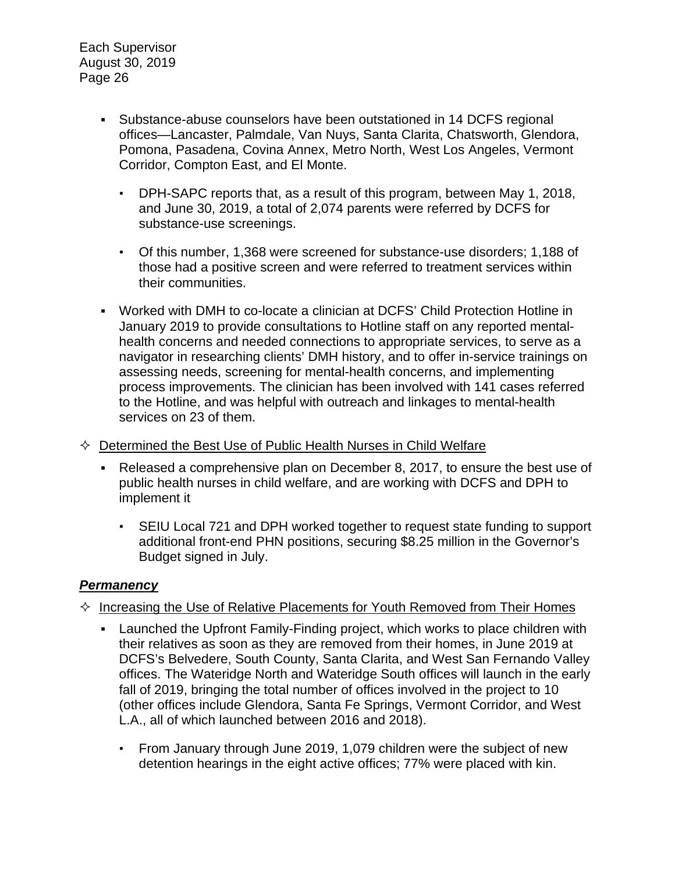- Substance-abuse counselors have been outstationed in 14 DCFS regional offices—Lancaster, Palmdale, Van Nuys, Santa Clarita, Chatsworth, Glendora, Pomona, Pasadena, Covina Annex, Metro North, West Los Angeles, Vermont Corridor, Compton East, and El Monte.
	- DPH-SAPC reports that, as a result of this program, between May 1, 2018, and June 30, 2019, a total of 2,074 parents were referred by DCFS for substance-use screenings.
	- Of this number, 1,368 were screened for substance-use disorders; 1,188 of those had a positive screen and were referred to treatment services within their communities.
- Worked with DMH to co-locate a clinician at DCFS' Child Protection Hotline in January 2019 to provide consultations to Hotline staff on any reported mentalhealth concerns and needed connections to appropriate services, to serve as a navigator in researching clients' DMH history, and to offer in-service trainings on assessing needs, screening for mental-health concerns, and implementing process improvements. The clinician has been involved with 141 cases referred to the Hotline, and was helpful with outreach and linkages to mental-health services on 23 of them.
- $\Diamond$  Determined the Best Use of Public Health Nurses in Child Welfare
	- Released a comprehensive plan on December 8, 2017, to ensure the best use of public health nurses in child welfare, and are working with DCFS and DPH to implement it
		- SEIU Local 721 and DPH worked together to request state funding to support additional front-end PHN positions, securing \$8.25 million in the Governor's Budget signed in July.

## *Permanency*

- $\Diamond$  Increasing the Use of Relative Placements for Youth Removed from Their Homes
	- **EXECT** Launched the Upfront Family-Finding project, which works to place children with their relatives as soon as they are removed from their homes, in June 2019 at DCFS's Belvedere, South County, Santa Clarita, and West San Fernando Valley offices. The Wateridge North and Wateridge South offices will launch in the early fall of 2019, bringing the total number of offices involved in the project to 10 (other offices include Glendora, Santa Fe Springs, Vermont Corridor, and West L.A., all of which launched between 2016 and 2018).
		- From January through June 2019, 1,079 children were the subject of new detention hearings in the eight active offices; 77% were placed with kin.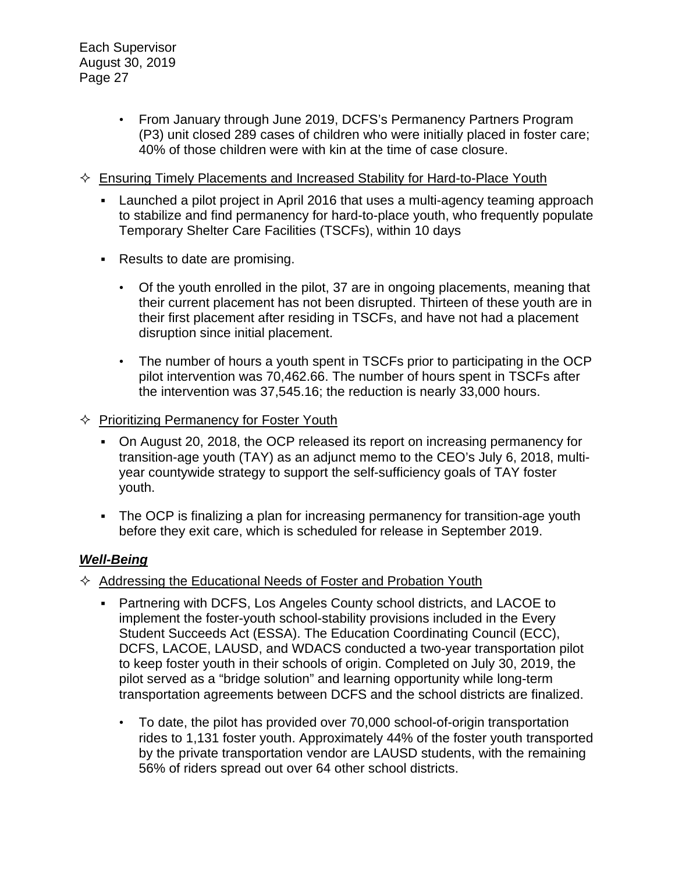- From January through June 2019, DCFS's Permanency Partners Program (P3) unit closed 289 cases of children who were initially placed in foster care; 40% of those children were with kin at the time of case closure.
- $\Diamond$  Ensuring Timely Placements and Increased Stability for Hard-to-Place Youth
	- Launched a pilot project in April 2016 that uses a multi-agency teaming approach to stabilize and find permanency for hard-to-place youth, who frequently populate Temporary Shelter Care Facilities (TSCFs), within 10 days
	- Results to date are promising.
		- Of the youth enrolled in the pilot, 37 are in ongoing placements, meaning that their current placement has not been disrupted. Thirteen of these youth are in their first placement after residing in TSCFs, and have not had a placement disruption since initial placement.
		- The number of hours a youth spent in TSCFs prior to participating in the OCP pilot intervention was 70,462.66. The number of hours spent in TSCFs after the intervention was 37,545.16; the reduction is nearly 33,000 hours.
- $\Diamond$  Prioritizing Permanency for Foster Youth
	- On August 20, 2018, the OCP released its report on increasing permanency for transition-age youth (TAY) as an adjunct memo to the CEO's July 6, 2018, multiyear countywide strategy to support the self-sufficiency goals of TAY foster youth.
	- The OCP is finalizing a plan for increasing permanency for transition-age youth before they exit care, which is scheduled for release in September 2019.

## *Well-Being*

- $\Diamond$  Addressing the Educational Needs of Foster and Probation Youth
	- Partnering with DCFS, Los Angeles County school districts, and LACOE to implement the foster-youth school-stability provisions included in the Every Student Succeeds Act (ESSA). The Education Coordinating Council (ECC), DCFS, LACOE, LAUSD, and WDACS conducted a two-year transportation pilot to keep foster youth in their schools of origin. Completed on July 30, 2019, the pilot served as a "bridge solution" and learning opportunity while long-term transportation agreements between DCFS and the school districts are finalized.
		- To date, the pilot has provided over 70,000 school-of-origin transportation rides to 1,131 foster youth. Approximately 44% of the foster youth transported by the private transportation vendor are LAUSD students, with the remaining 56% of riders spread out over 64 other school districts.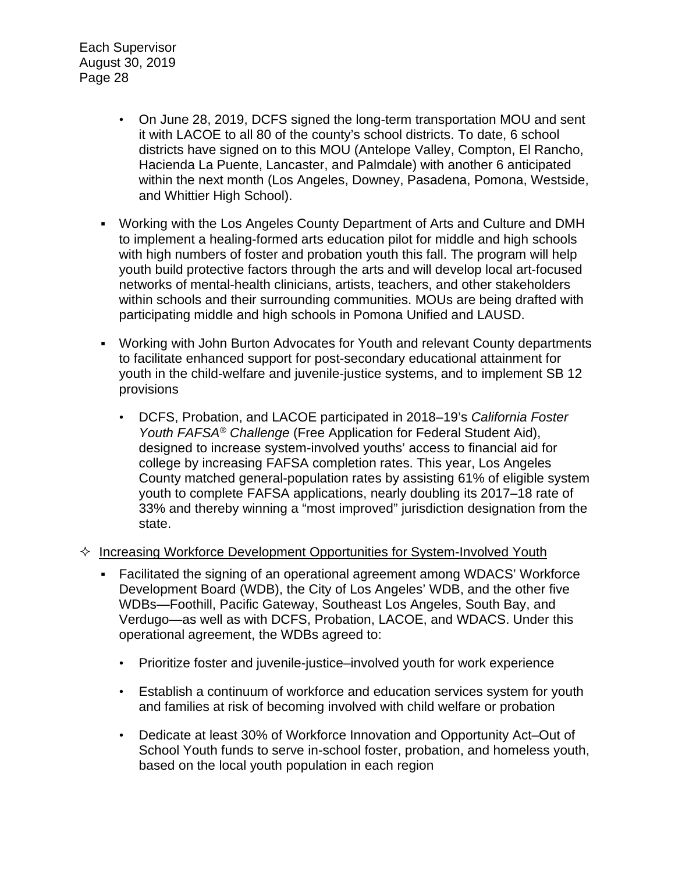- On June 28, 2019, DCFS signed the long-term transportation MOU and sent it with LACOE to all 80 of the county's school districts. To date, 6 school districts have signed on to this MOU (Antelope Valley, Compton, El Rancho, Hacienda La Puente, Lancaster, and Palmdale) with another 6 anticipated within the next month (Los Angeles, Downey, Pasadena, Pomona, Westside, and Whittier High School).
- Working with the Los Angeles County Department of Arts and Culture and DMH to implement a healing-formed arts education pilot for middle and high schools with high numbers of foster and probation youth this fall. The program will help youth build protective factors through the arts and will develop local art-focused networks of mental-health clinicians, artists, teachers, and other stakeholders within schools and their surrounding communities. MOUs are being drafted with participating middle and high schools in Pomona Unified and LAUSD.
- Working with John Burton Advocates for Youth and relevant County departments to facilitate enhanced support for post-secondary educational attainment for youth in the child-welfare and juvenile-justice systems, and to implement SB 12 provisions
	- DCFS, Probation, and LACOE participated in 2018–19's *California Foster Youth FAFSA® Challenge* (Free Application for Federal Student Aid), designed to increase system-involved youths' access to financial aid for college by increasing FAFSA completion rates. This year, Los Angeles County matched general-population rates by assisting 61% of eligible system youth to complete FAFSA applications, nearly doubling its 2017–18 rate of 33% and thereby winning a "most improved" jurisdiction designation from the state.

#### $\Diamond$  Increasing Workforce Development Opportunities for System-Involved Youth

- Facilitated the signing of an operational agreement among WDACS' Workforce Development Board (WDB), the City of Los Angeles' WDB, and the other five WDBs—Foothill, Pacific Gateway, Southeast Los Angeles, South Bay, and Verdugo—as well as with DCFS, Probation, LACOE, and WDACS. Under this operational agreement, the WDBs agreed to:
	- Prioritize foster and juvenile-justice–involved youth for work experience
	- Establish a continuum of workforce and education services system for youth and families at risk of becoming involved with child welfare or probation
	- Dedicate at least 30% of Workforce Innovation and Opportunity Act–Out of School Youth funds to serve in-school foster, probation, and homeless youth, based on the local youth population in each region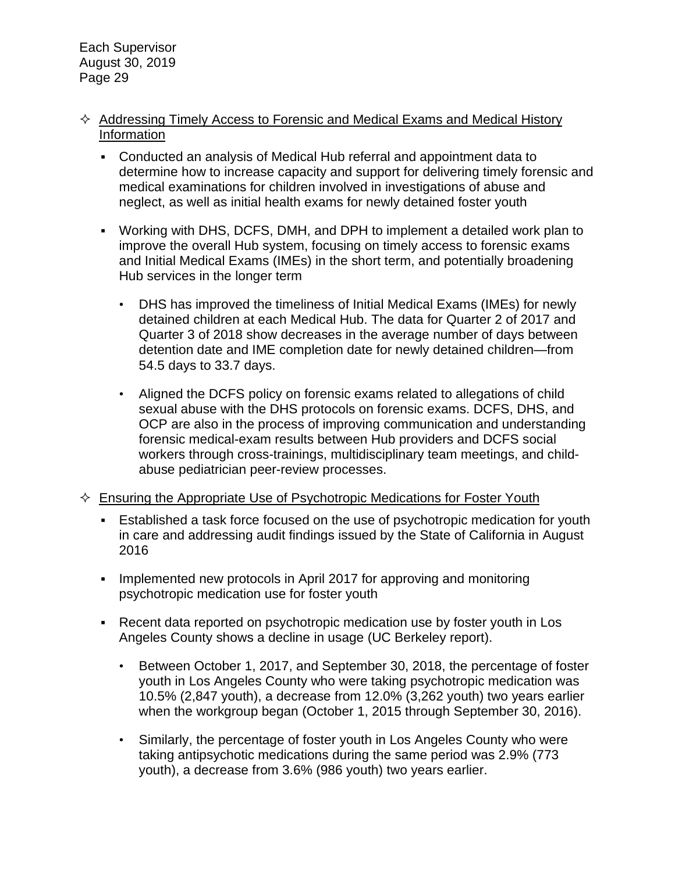- $\Diamond$  Addressing Timely Access to Forensic and Medical Exams and Medical History Information
	- Conducted an analysis of Medical Hub referral and appointment data to determine how to increase capacity and support for delivering timely forensic and medical examinations for children involved in investigations of abuse and neglect, as well as initial health exams for newly detained foster youth
	- Working with DHS, DCFS, DMH, and DPH to implement a detailed work plan to improve the overall Hub system, focusing on timely access to forensic exams and Initial Medical Exams (IMEs) in the short term, and potentially broadening Hub services in the longer term
		- DHS has improved the timeliness of Initial Medical Exams (IMEs) for newly detained children at each Medical Hub. The data for Quarter 2 of 2017 and Quarter 3 of 2018 show decreases in the average number of days between detention date and IME completion date for newly detained children—from 54.5 days to 33.7 days.
		- Aligned the DCFS policy on forensic exams related to allegations of child sexual abuse with the DHS protocols on forensic exams. DCFS, DHS, and OCP are also in the process of improving communication and understanding forensic medical-exam results between Hub providers and DCFS social workers through cross-trainings, multidisciplinary team meetings, and childabuse pediatrician peer-review processes.
- $\Diamond$  Ensuring the Appropriate Use of Psychotropic Medications for Foster Youth
	- Established a task force focused on the use of psychotropic medication for youth in care and addressing audit findings issued by the State of California in August 2016
	- Implemented new protocols in April 2017 for approving and monitoring psychotropic medication use for foster youth
	- Recent data reported on psychotropic medication use by foster youth in Los Angeles County shows a decline in usage (UC Berkeley report).
		- Between October 1, 2017, and September 30, 2018, the percentage of foster youth in Los Angeles County who were taking psychotropic medication was 10.5% (2,847 youth), a decrease from 12.0% (3,262 youth) two years earlier when the workgroup began (October 1, 2015 through September 30, 2016).
		- Similarly, the percentage of foster youth in Los Angeles County who were taking antipsychotic medications during the same period was 2.9% (773 youth), a decrease from 3.6% (986 youth) two years earlier.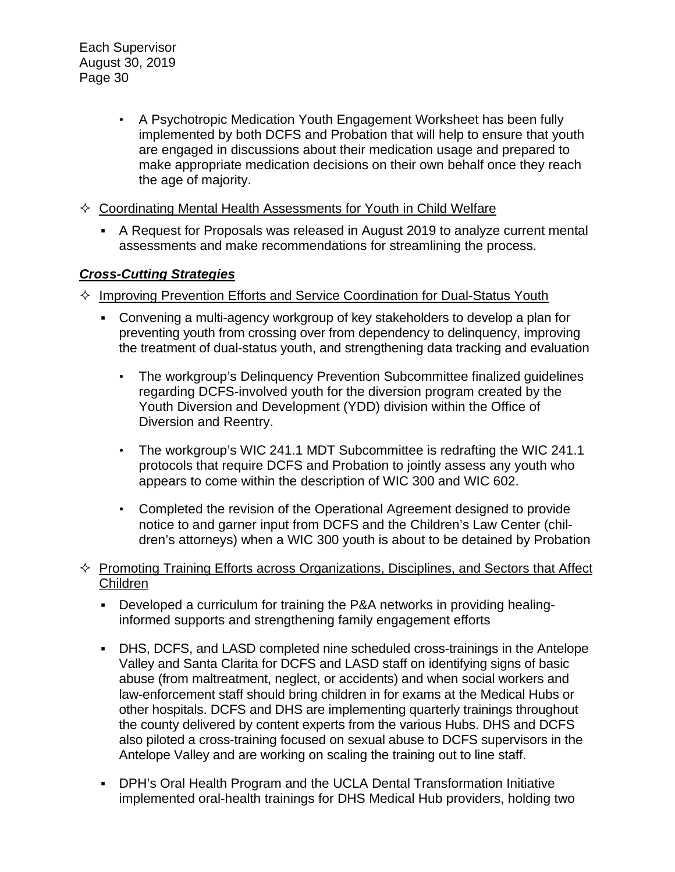- A Psychotropic Medication Youth Engagement Worksheet has been fully implemented by both DCFS and Probation that will help to ensure that youth are engaged in discussions about their medication usage and prepared to make appropriate medication decisions on their own behalf once they reach the age of majority.
- $\Diamond$  Coordinating Mental Health Assessments for Youth in Child Welfare
	- A Request for Proposals was released in August 2019 to analyze current mental assessments and make recommendations for streamlining the process.

### *Cross-Cutting Strategies*

- $\Diamond$  Improving Prevention Efforts and Service Coordination for Dual-Status Youth
	- Convening a multi-agency workgroup of key stakeholders to develop a plan for preventing youth from crossing over from dependency to delinquency, improving the treatment of dual-status youth, and strengthening data tracking and evaluation
		- The workgroup's Delinquency Prevention Subcommittee finalized guidelines regarding DCFS-involved youth for the diversion program created by the Youth Diversion and Development (YDD) division within the Office of Diversion and Reentry.
		- The workgroup's WIC 241.1 MDT Subcommittee is redrafting the WIC 241.1 protocols that require DCFS and Probation to jointly assess any youth who appears to come within the description of WIC 300 and WIC 602.
		- Completed the revision of the Operational Agreement designed to provide notice to and garner input from DCFS and the Children's Law Center (children's attorneys) when a WIC 300 youth is about to be detained by Probation
- $\Diamond$  Promoting Training Efforts across Organizations, Disciplines, and Sectors that Affect Children
	- Developed a curriculum for training the P&A networks in providing healinginformed supports and strengthening family engagement efforts
	- DHS, DCFS, and LASD completed nine scheduled cross-trainings in the Antelope Valley and Santa Clarita for DCFS and LASD staff on identifying signs of basic abuse (from maltreatment, neglect, or accidents) and when social workers and law-enforcement staff should bring children in for exams at the Medical Hubs or other hospitals. DCFS and DHS are implementing quarterly trainings throughout the county delivered by content experts from the various Hubs. DHS and DCFS also piloted a cross-training focused on sexual abuse to DCFS supervisors in the Antelope Valley and are working on scaling the training out to line staff.
	- DPH's Oral Health Program and the UCLA Dental Transformation Initiative implemented oral-health trainings for DHS Medical Hub providers, holding two